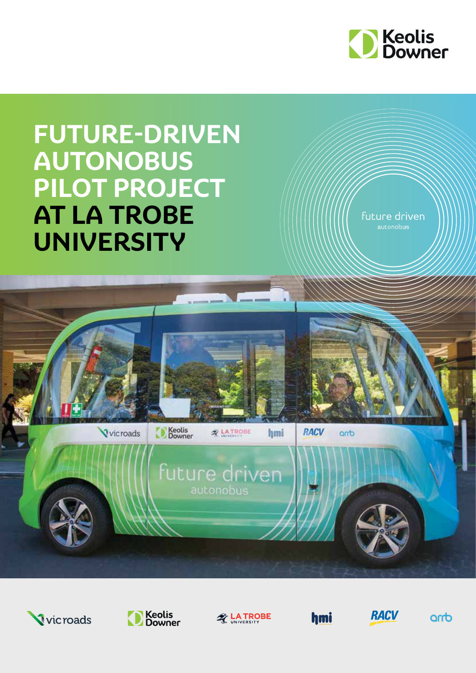

# **FUTURE-DRIVEN AUTONOBUS PILOT PROJECT AT LA TROBE UNIVERSITY**

future driven autonobus



D

Keolis<br>Downer

future driven autonobus

**A LATROBE** 

hmi

**RACV** 

dmo







hmi



arrb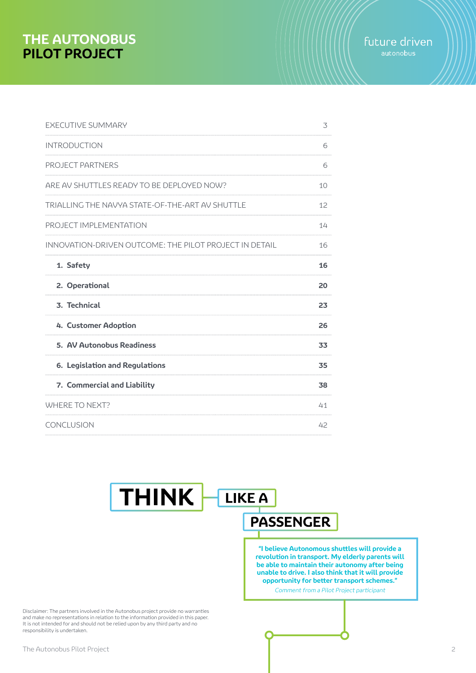| 3  |
|----|
| 6  |
| 6  |
| 10 |
| 12 |
| 14 |
| 16 |
| 16 |
| 20 |
| 23 |
| 26 |
| 33 |
| 35 |
| 38 |
| 41 |
| 42 |
|    |

# **THINK LIKE A PASSENGER**

**"I believe Autonomous shuttles will provide a revolution in transport. My elderly parents will be able to maintain their autonomy after being unable to drive. I also think that it will provide opportunity for better transport schemes."**

Comment from a Pilot Project participant

Disclaimer: The partners involved in the Autonobus project provide no warranties and make no representations in relation to the information provided in this paper. It is not intended for and should not be relied upon by any third party and no responsibility is undertaken.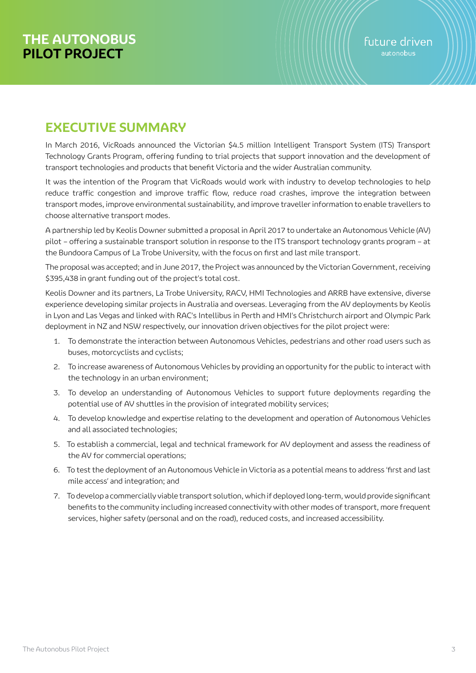# **EXECUTIVE SUMMARY**

In March 2016, VicRoads announced the Victorian \$4.5 million Intelligent Transport System (ITS) Transport Technology Grants Program, offering funding to trial projects that support innovation and the development of transport technologies and products that benefit Victoria and the wider Australian community.

It was the intention of the Program that VicRoads would work with industry to develop technologies to help reduce traffic congestion and improve traffic flow, reduce road crashes, improve the integration between transport modes, improve environmental sustainability, and improve traveller information to enable travellers to choose alternative transport modes.

A partnership led by Keolis Downer submitted a proposal in April 2017 to undertake an Autonomous Vehicle (AV) pilot – offering a sustainable transport solution in response to the ITS transport technology grants program – at the Bundoora Campus of La Trobe University, with the focus on first and last mile transport.

The proposal was accepted; and in June 2017, the Project was announced by the Victorian Government, receiving \$395,438 in grant funding out of the project's total cost.

Keolis Downer and its partners, La Trobe University, RACV, HMI Technologies and ARRB have extensive, diverse experience developing similar projects in Australia and overseas. Leveraging from the AV deployments by Keolis in Lyon and Las Vegas and linked with RAC's Intellibus in Perth and HMI's Christchurch airport and Olympic Park deployment in NZ and NSW respectively, our innovation driven objectives for the pilot project were:

- 1. To demonstrate the interaction between Autonomous Vehicles, pedestrians and other road users such as buses, motorcyclists and cyclists;
- 2. To increase awareness of Autonomous Vehicles by providing an opportunity for the public to interact with the technology in an urban environment;
- 3. To develop an understanding of Autonomous Vehicles to support future deployments regarding the potential use of AV shuttles in the provision of integrated mobility services;
- 4. To develop knowledge and expertise relating to the development and operation of Autonomous Vehicles and all associated technologies;
- 5. To establish a commercial, legal and technical framework for AV deployment and assess the readiness of the AV for commercial operations;
- 6. To test the deployment of an Autonomous Vehicle in Victoria as a potential means to address 'first and last mile access' and integration; and
- 7. To develop a commercially viable transport solution, which if deployed long-term, would provide significant benefits to the community including increased connectivity with other modes of transport, more frequent services, higher safety (personal and on the road), reduced costs, and increased accessibility.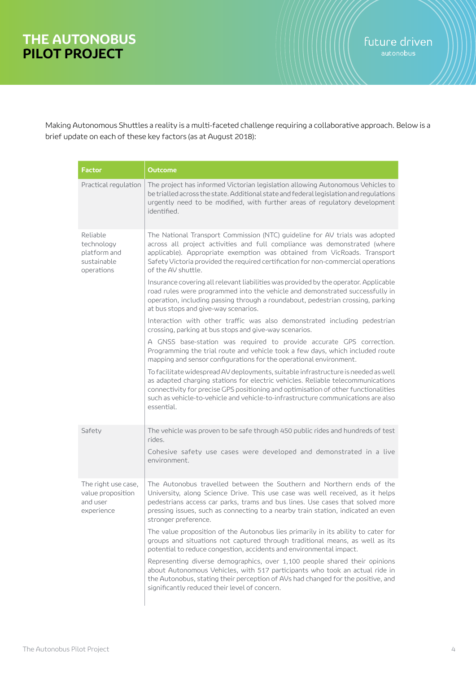Making Autonomous Shuttles a reality is a multi-faceted challenge requiring a collaborative approach. Below is a brief update on each of these key factors (as at August 2018):

| Factor                                                              | Outcome                                                                                                                                                                                                                                                                                                                                                       |
|---------------------------------------------------------------------|---------------------------------------------------------------------------------------------------------------------------------------------------------------------------------------------------------------------------------------------------------------------------------------------------------------------------------------------------------------|
| Practical regulation                                                | The project has informed Victorian legislation allowing Autonomous Vehicles to<br>be trialled across the state. Additional state and federal legislation and regulations<br>urgently need to be modified, with further areas of regulatory development<br>identified.                                                                                         |
| Reliable<br>technology<br>platform and<br>sustainable<br>operations | The National Transport Commission (NTC) guideline for AV trials was adopted<br>across all project activities and full compliance was demonstrated (where<br>applicable). Appropriate exemption was obtained from VicRoads. Transport<br>Safety Victoria provided the required certification for non-commercial operations<br>of the AV shuttle.               |
|                                                                     | Insurance covering all relevant liabilities was provided by the operator. Applicable<br>road rules were programmed into the vehicle and demonstrated successfully in<br>operation, including passing through a roundabout, pedestrian crossing, parking<br>at bus stops and give-way scenarios.                                                               |
|                                                                     | Interaction with other traffic was also demonstrated including pedestrian<br>crossing, parking at bus stops and give-way scenarios.                                                                                                                                                                                                                           |
|                                                                     | A GNSS base-station was required to provide accurate GPS correction.<br>Programming the trial route and vehicle took a few days, which included route<br>mapping and sensor configurations for the operational environment.                                                                                                                                   |
|                                                                     | To facilitate widespread AV deployments, suitable infrastructure is needed as well<br>as adapted charging stations for electric vehicles. Reliable telecommunications<br>connectivity for precise GPS positioning and optimisation of other functionalities<br>such as vehicle-to-vehicle and vehicle-to-infrastructure communications are also<br>essential. |
| Safety                                                              | The vehicle was proven to be safe through 450 public rides and hundreds of test<br>rides.                                                                                                                                                                                                                                                                     |
|                                                                     | Cohesive safety use cases were developed and demonstrated in a live<br>environment.                                                                                                                                                                                                                                                                           |
| The right use case,<br>value proposition<br>and user<br>experience  | The Autonobus travelled between the Southern and Northern ends of the<br>University, along Science Drive. This use case was well received, as it helps<br>pedestrians access car parks, trams and bus lines. Use cases that solved more<br>pressing issues, such as connecting to a nearby train station, indicated an even<br>stronger preference.           |
|                                                                     | The value proposition of the Autonobus lies primarily in its ability to cater for<br>groups and situations not captured through traditional means, as well as its<br>potential to reduce congestion, accidents and environmental impact.                                                                                                                      |
|                                                                     | Representing diverse demographics, over 1,100 people shared their opinions<br>about Autonomous Vehicles, with 517 participants who took an actual ride in<br>the Autonobus, stating their perception of AVs had changed for the positive, and<br>significantly reduced their level of concern.                                                                |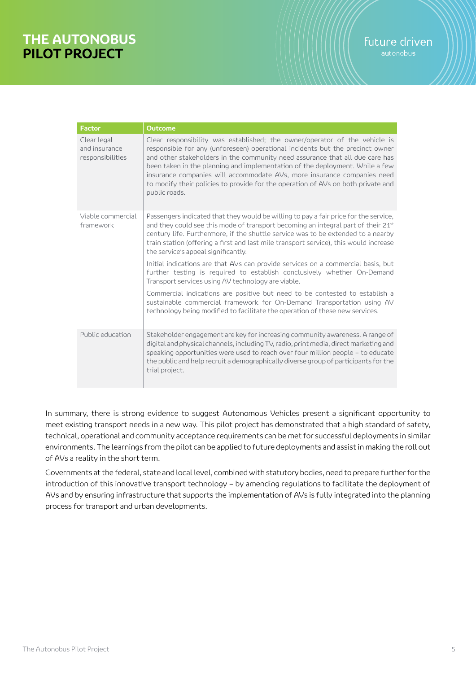| <b>Factor</b>                                    | <b>Outcome</b>                                                                                                                                                                                                                                                                                                                                                                                                                                                                                              |
|--------------------------------------------------|-------------------------------------------------------------------------------------------------------------------------------------------------------------------------------------------------------------------------------------------------------------------------------------------------------------------------------------------------------------------------------------------------------------------------------------------------------------------------------------------------------------|
| Clear legal<br>and insurance<br>responsibilities | Clear responsibility was established; the owner/operator of the vehicle is<br>responsible for any (unforeseen) operational incidents but the precinct owner<br>and other stakeholders in the community need assurance that all due care has<br>been taken in the planning and implementation of the deployment. While a few<br>insurance companies will accommodate AVs, more insurance companies need<br>to modify their policies to provide for the operation of AVs on both private and<br>public roads. |
| Viable commercial<br>framework                   | Passengers indicated that they would be willing to pay a fair price for the service,<br>and they could see this mode of transport becoming an integral part of their 21 <sup>st</sup><br>century life. Furthermore, if the shuttle service was to be extended to a nearby<br>train station (offering a first and last mile transport service), this would increase<br>the service's appeal significantly.                                                                                                   |
|                                                  | Initial indications are that AVs can provide services on a commercial basis, but<br>further testing is required to establish conclusively whether On-Demand<br>Transport services using AV technology are viable.                                                                                                                                                                                                                                                                                           |
|                                                  | Commercial indications are positive but need to be contested to establish a<br>sustainable commercial framework for On-Demand Transportation using AV<br>technology being modified to facilitate the operation of these new services.                                                                                                                                                                                                                                                                       |
| Public education                                 | Stakeholder engagement are key for increasing community awareness. A range of<br>digital and physical channels, including TV, radio, print media, direct marketing and<br>speaking opportunities were used to reach over four million people – to educate<br>the public and help recruit a demographically diverse group of participants for the<br>trial project.                                                                                                                                          |

In summary, there is strong evidence to suggest Autonomous Vehicles present a significant opportunity to meet existing transport needs in a new way. This pilot project has demonstrated that a high standard of safety, technical, operational and community acceptance requirements can be met for successful deployments in similar environments. The learnings from the pilot can be applied to future deployments and assist in making the roll out of AVs a reality in the short term.

Governments at the federal, state and local level, combined with statutory bodies, need to prepare further for the introduction of this innovative transport technology – by amending regulations to facilitate the deployment of AVs and by ensuring infrastructure that supports the implementation of AVs is fully integrated into the planning process for transport and urban developments.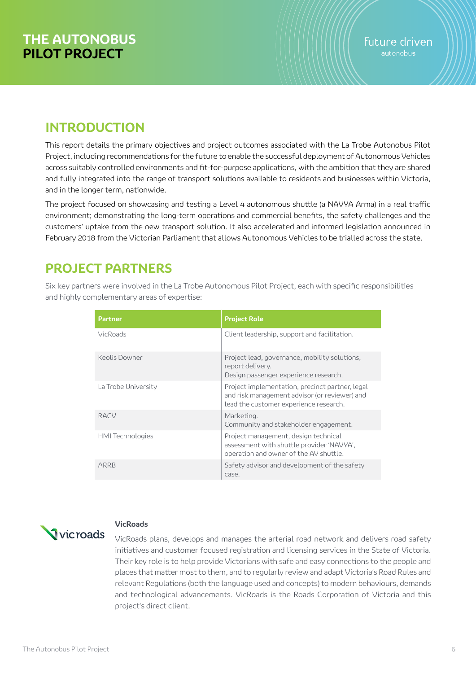# **INTRODUCTION**

This report details the primary objectives and project outcomes associated with the La Trobe Autonobus Pilot Project, including recommendations for the future to enable the successful deployment of Autonomous Vehicles across suitably controlled environments and fit-for-purpose applications, with the ambition that they are shared and fully integrated into the range of transport solutions available to residents and businesses within Victoria, and in the longer term, nationwide.

The project focused on showcasing and testing a Level 4 autonomous shuttle (a NAVYA Arma) in a real traffic environment; demonstrating the long-term operations and commercial benefits, the safety challenges and the customers' uptake from the new transport solution. It also accelerated and informed legislation announced in February 2018 from the Victorian Parliament that allows Autonomous Vehicles to be trialled across the state.

# **PROJECT PARTNERS**

Six key partners were involved in the La Trobe Autonomous Pilot Project, each with specific responsibilities and highly complementary areas of expertise:

| <b>Partner</b>          | <b>Project Role</b>                                                                                                                        |
|-------------------------|--------------------------------------------------------------------------------------------------------------------------------------------|
| <b>VicRoads</b>         | Client leadership, support and facilitation.                                                                                               |
| Keolis Downer           | Project lead, governance, mobility solutions,<br>report delivery.<br>Design passenger experience research.                                 |
| La Trobe University     | Project implementation, precinct partner, legal<br>and risk management advisor (or reviewer) and<br>lead the customer experience research. |
| RACV                    | Marketing.<br>Community and stakeholder engagement.                                                                                        |
| <b>HMI</b> Technologies | Project management, design technical<br>assessment with shuttle provider 'NAVYA',<br>operation and owner of the AV shuttle.                |
| ARRB                    | Safety advisor and development of the safety<br>case.                                                                                      |



## **VicRoads**

VicRoads plans, develops and manages the arterial road network and delivers road safety initiatives and customer focused registration and licensing services in the State of Victoria. Their key role is to help provide Victorians with safe and easy connections to the people and places that matter most to them, and to regularly review and adapt Victoria's Road Rules and relevant Regulations (both the language used and concepts) to modern behaviours, demands and technological advancements. VicRoads is the Roads Corporation of Victoria and this project's direct client.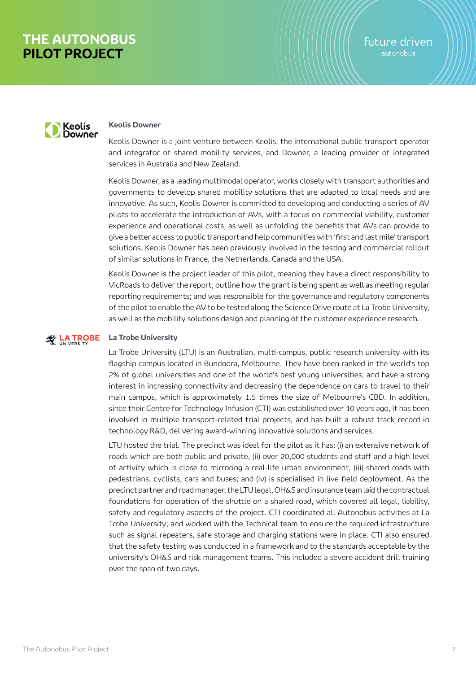

#### **Keolis Downer**

Keolis Downer is a joint venture between Keolis, the international public transport operator and integrator of shared mobility services, and Downer, a leading provider of integrated services in Australia and New Zealand.

Keolis Downer, as a leading multimodal operator, works closely with transport authorities and governments to develop shared mobility solutions that are adapted to local needs and are innovative. As such, Keolis Downer is committed to developing and conducting a series of AV pilots to accelerate the introduction of AVs, with a focus on commercial viability, customer experience and operational costs, as well as unfolding the benefits that AVs can provide to give a better access to public transport and help communities with 'first and last mile' transport solutions. Keolis Downer has been previously involved in the testing and commercial rollout of similar solutions in France, the Netherlands, Canada and the USA.

Keolis Downer is the project leader of this pilot, meaning they have a direct responsibility to VicRoads to deliver the report, outline how the grant is being spent as well as meeting regular reporting requirements; and was responsible for the governance and regulatory components of the pilot to enable the AV to be tested along the Science Drive route at La Trobe University, as well as the mobility solutions design and planning of the customer experience research.

#### **LA TROBE La Trobe University**

La Trobe University (LTU) is an Australian, multi-campus, public research university with its flagship campus located in Bundoora, Melbourne. They have been ranked in the world's top 2% of global universities and one of the world's best young universities; and have a strong interest in increasing connectivity and decreasing the dependence on cars to travel to their main campus, which is approximately 1.5 times the size of Melbourne's CBD. In addition, since their Centre for Technology Infusion (CTI) was established over 10 years ago, it has been involved in multiple transport-related trial projects, and has built a robust track record in technology R&D, delivering award-winning innovative solutions and services.

LTU hosted the trial. The precinct was ideal for the pilot as it has: (i) an extensive network of roads which are both public and private, (ii) over 20,000 students and staff and a high level of activity which is close to mirroring a real-life urban environment, (iii) shared roads with pedestrians, cyclists, cars and buses; and (iv) is specialised in live field deployment. As the precinct partner and road manager, the LTU legal, OH&S and insurance team laid the contractual foundations for operation of the shuttle on a shared road, which covered all legal, liability, safety and regulatory aspects of the project. CTI coordinated all Autonobus activities at La Trobe University; and worked with the Technical team to ensure the required infrastructure such as signal repeaters, safe storage and charging stations were in place. CTI also ensured that the safety testing was conducted in a framework and to the standards acceptable by the university's OH&S and risk management teams. This included a severe accident drill training over the span of two days.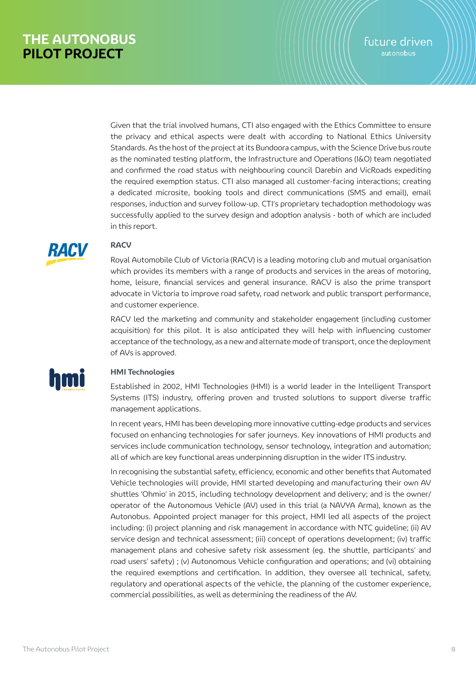Given that the trial involved humans, CTI also engaged with the Ethics Committee to ensure the privacy and ethical aspects were dealt with according to National Ethics University Standards. As the host of the project at its Bundoora campus, with the Science Drive bus route as the nominated testing platform, the Infrastructure and Operations (I&O) team negotiated and confirmed the road status with neighbouring council Darebin and VicRoads expediting the required exemption status. CTI also managed all customer-facing interactions; creating a dedicated microsite, booking tools and direct communications (SMS and email), email responses, induction and survey follow-up. CTI's proprietary techadoption methodology was successfully applied to the survey design and adoption analysis - both of which are included in this report.



## **RACV**

Royal Automobile Club of Victoria (RACV) is a leading motoring club and mutual organisation which provides its members with a range of products and services in the areas of motoring, home, leisure, financial services and general insurance. RACV is also the prime transport advocate in Victoria to improve road safety, road network and public transport performance, and customer experience.

RACV led the marketing and community and stakeholder engagement (including customer acquisition) for this pilot. It is also anticipated they will help with influencing customer acceptance of the technology, as a new and alternate mode of transport, once the deployment of AVs is approved.



### **HMI Technologies**

Established in 2002, HMI Technologies (HMI) is a world leader in the Intelligent Transport Systems (ITS) industry, offering proven and trusted solutions to support diverse traffic management applications.

In recent years, HMI has been developing more innovative cutting-edge products and services focused on enhancing technologies for safer journeys. Key innovations of HMI products and services include communication technology, sensor technology, integration and automation; all of which are key functional areas underpinning disruption in the wider ITS industry.

In recognising the substantial safety, efficiency, economic and other benefits that Automated Vehicle technologies will provide, HMI started developing and manufacturing their own AV shuttles 'Ohmio' in 2015, including technology development and delivery; and is the owner/ operator of the Autonomous Vehicle (AV) used in this trial (a NAVYA Arma), known as the Autonobus. Appointed project manager for this project, HMI led all aspects of the project including: (i) project planning and risk management in accordance with NTC guideline; (ii) AV service design and technical assessment; (iii) concept of operations development; (iv) traffic management plans and cohesive safety risk assessment (eg. the shuttle, participants' and road users' safety) ; (v) Autonomous Vehicle configuration and operations; and (vi) obtaining the required exemptions and certification. In addition, they oversee all technical, safety, regulatory and operational aspects of the vehicle, the planning of the customer experience, commercial possibilities, as well as determining the readiness of the AV.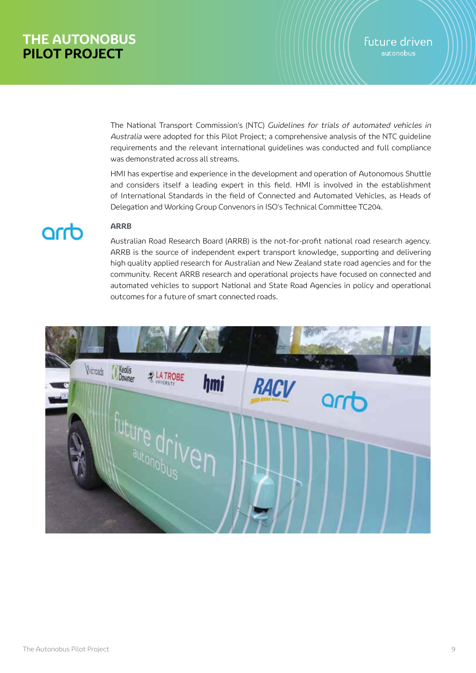The National Transport Commission's (NTC) Guidelines for trials of automated vehicles in Australia were adopted for this Pilot Project; a comprehensive analysis of the NTC guideline requirements and the relevant international guidelines was conducted and full compliance was demonstrated across all streams.

HMI has expertise and experience in the development and operation of Autonomous Shuttle and considers itself a leading expert in this field. HMI is involved in the establishment of International Standards in the field of Connected and Automated Vehicles, as Heads of Delegation and Working Group Convenors in ISO's Technical Committee TC204.

# awp

### **ARRB**

Australian Road Research Board (ARRB) is the not-for-profit national road research agency. ARRB is the source of independent expert transport knowledge, supporting and delivering high quality applied research for Australian and New Zealand state road agencies and for the community. Recent ARRB research and operational projects have focused on connected and automated vehicles to support National and State Road Agencies in policy and operational outcomes for a future of smart connected roads.

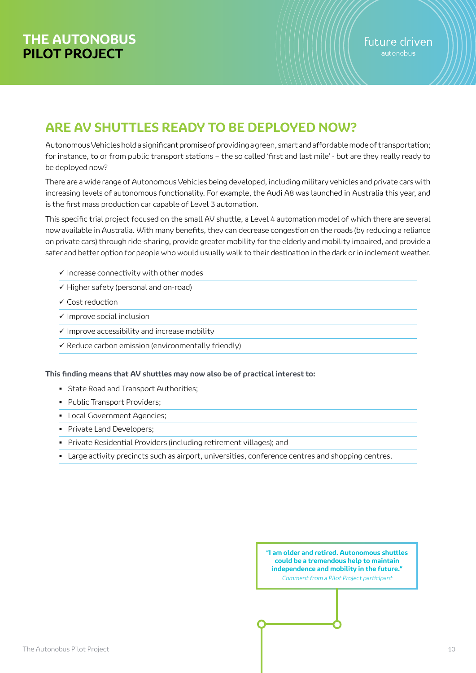# **ARE AV SHUTTLES READY TO BE DEPLOYED NOW?**

Autonomous Vehicles hold a significant promise of providing a green, smart and affordable mode of transportation; for instance, to or from public transport stations – the so called 'first and last mile' - but are they really ready to be deployed now?

There are a wide range of Autonomous Vehicles being developed, including military vehicles and private cars with increasing levels of autonomous functionality. For example, the Audi A8 was launched in Australia this year, and is the first mass production car capable of Level 3 automation.

This specific trial project focused on the small AV shuttle, a Level 4 automation model of which there are several now available in Australia. With many benefits, they can decrease congestion on the roads (by reducing a reliance on private cars) through ride-sharing, provide greater mobility for the elderly and mobility impaired, and provide a safer and better option for people who would usually walk to their destination in the dark or in inclement weather.

- $\checkmark$  Increase connectivity with other modes
- $\checkmark$  Higher safety (personal and on-road)
- Cost reduction
- $\checkmark$  Improve social inclusion
- $\checkmark$  Improve accessibility and increase mobility
- $\checkmark$  Reduce carbon emission (environmentally friendly)

#### **This finding means that AV shuttles may now also be of practical interest to:**

- **State Road and Transport Authorities;**
- **Public Transport Providers:**
- **Local Government Agencies;**
- Private Land Developers;
- Private Residential Providers (including retirement villages); and
- Large activity precincts such as airport, universities, conference centres and shopping centres.

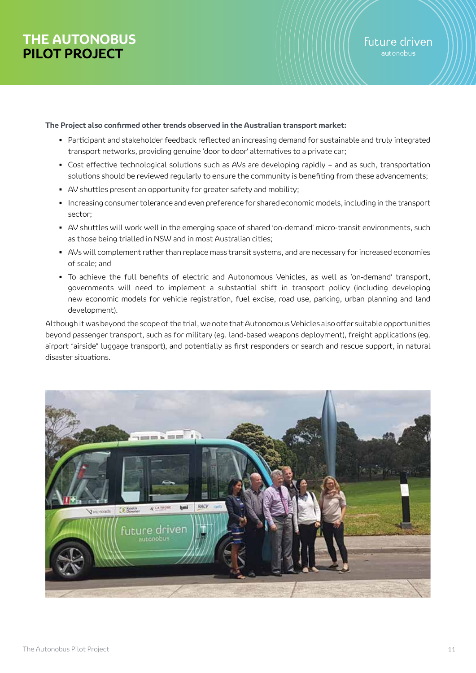#### **The Project also confirmed other trends observed in the Australian transport market:**

- Participant and stakeholder feedback reflected an increasing demand for sustainable and truly integrated transport networks, providing genuine 'door to door' alternatives to a private car;
- Cost effective technological solutions such as AVs are developing rapidly and as such, transportation solutions should be reviewed regularly to ensure the community is benefiting from these advancements;
- AV shuttles present an opportunity for greater safety and mobility;
- Increasing consumer tolerance and even preference for shared economic models, including in the transport sector;
- AV shuttles will work well in the emerging space of shared 'on-demand' micro-transit environments, such as those being trialled in NSW and in most Australian cities;
- AVs will complement rather than replace mass transit systems, and are necessary for increased economies of scale; and
- To achieve the full benefits of electric and Autonomous Vehicles, as well as 'on-demand' transport, governments will need to implement a substantial shift in transport policy (including developing new economic models for vehicle registration, fuel excise, road use, parking, urban planning and land development).

Although it was beyond the scope of the trial, we note that Autonomous Vehicles also offer suitable opportunities beyond passenger transport, such as for military (eg. land-based weapons deployment), freight applications (eg. airport "airside" luggage transport), and potentially as first responders or search and rescue support, in natural disaster situations.

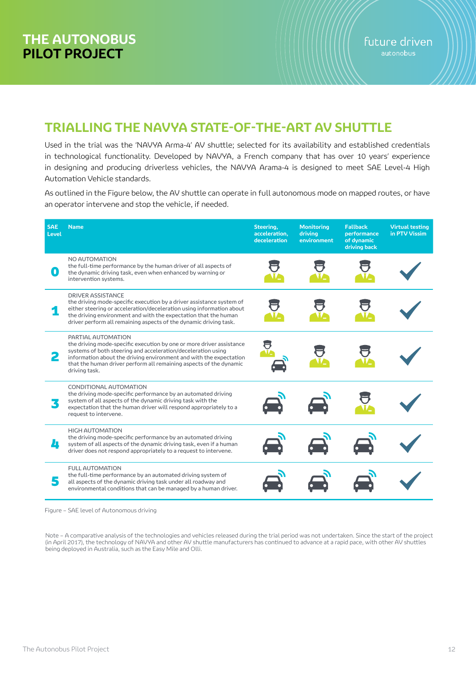# **TRIALLING THE NAVYA STATE-OF-THE-ART AV SHUTTLE**

Used in the trial was the 'NAVYA Arma-4' AV shuttle; selected for its availability and established credentials in technological functionality. Developed by NAVYA, a French company that has over 10 years' experience in designing and producing driverless vehicles, the NAVYA Arama-4 is designed to meet SAE Level-4 High Automation Vehicle standards.

As outlined in the Figure below, the AV shuttle can operate in full autonomous mode on mapped routes, or have an operator intervene and stop the vehicle, if needed.

| <b>SAE</b><br>Level | <b>Name</b>                                                                                                                                                                                                                                                                                                             | Steering,<br>acceleration,<br>deceleration | <b>Monitoring</b><br>driving<br>environment | <b>Fallback</b><br>performance<br>of dynamic<br>driving back | <b>Virtual testing</b><br>in PTV Vissim |
|---------------------|-------------------------------------------------------------------------------------------------------------------------------------------------------------------------------------------------------------------------------------------------------------------------------------------------------------------------|--------------------------------------------|---------------------------------------------|--------------------------------------------------------------|-----------------------------------------|
| 0                   | NO AUTOMATION<br>the full-time performance by the human driver of all aspects of<br>the dynamic driving task, even when enhanced by warning or<br>intervention systems.                                                                                                                                                 |                                            |                                             |                                                              |                                         |
|                     | DRIVER ASSISTANCE<br>the driving mode-specific execution by a driver assistance system of<br>either steering or acceleration/deceleration using information about<br>the driving environment and with the expectation that the human<br>driver perform all remaining aspects of the dynamic driving task.               |                                            |                                             |                                                              |                                         |
| 2                   | PARTIAL AUTOMATION<br>the driving mode-specific execution by one or more driver assistance<br>systems of both steering and acceleration/deceleration using<br>information about the driving environment and with the expectation<br>that the human driver perform all remaining aspects of the dynamic<br>driving task. |                                            |                                             |                                                              |                                         |
|                     | CONDITIONAL AUTOMATION<br>the driving mode-specific performance by an automated driving<br>system of all aspects of the dynamic driving task with the<br>expectation that the human driver will respond appropriately to a<br>request to intervene.                                                                     |                                            |                                             |                                                              |                                         |
| л                   | <b>HIGH AUTOMATION</b><br>the driving mode-specific performance by an automated driving<br>system of all aspects of the dynamic driving task, even if a human<br>driver does not respond appropriately to a request to intervene.                                                                                       |                                            |                                             |                                                              |                                         |
|                     | <b>FULL AUTOMATION</b><br>the full-time performance by an automated driving system of<br>all aspects of the dynamic driving task under all roadway and<br>environmental conditions that can be managed by a human driver.                                                                                               |                                            |                                             |                                                              |                                         |

Figure – SAE level of Autonomous driving

Note – A comparative analysis of the technologies and vehicles released during the trial period was not undertaken. Since the start of the project (in April 2017), the technology of NAVYA and other AV shuttle manufacturers has continued to advance at a rapid pace, with other AV shuttles being deployed in Australia, such as the Easy Mile and Olli.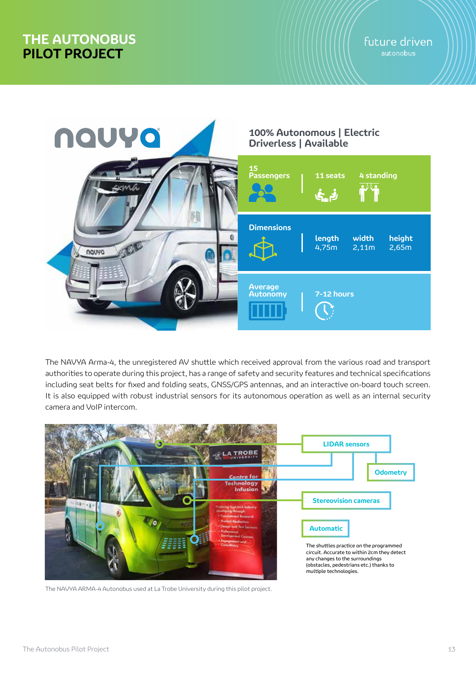

The NAVYA Arma-4, the unregistered AV shuttle which received approval from the various road and transport authorities to operate during this project, has a range of safety and security features and technical specifications including seat belts for fixed and folding seats, GNSS/GPS antennas, and an interactive on-board touch screen. It is also equipped with robust industrial sensors for its autonomous operation as well as an internal security camera and VoIP intercom.



The NAVYA ARMA-4 Autonobus used at La Trobe University during this pilot project.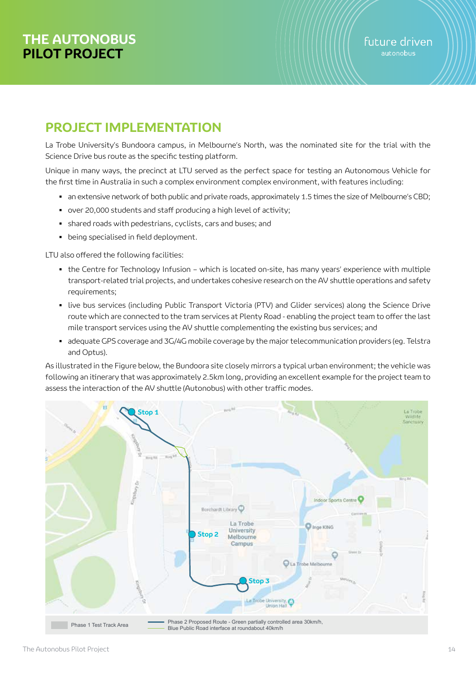# **PROJECT IMPLEMENTATION**

La Trobe University's Bundoora campus, in Melbourne's North, was the nominated site for the trial with the Science Drive bus route as the specific testing platform.

Unique in many ways, the precinct at LTU served as the perfect space for testing an Autonomous Vehicle for the first time in Australia in such a complex environment complex environment, with features including:

- an extensive network of both public and private roads, approximately 1.5 times the size of Melbourne's CBD;
- over 20,000 students and staff producing a high level of activity;
- shared roads with pedestrians, cyclists, cars and buses; and
- **•** being specialised in field deployment.

LTU also offered the following facilities:

- the Centre for Technology Infusion which is located on-site, has many years' experience with multiple transport-related trial projects, and undertakes cohesive research on the AV shuttle operations and safety requirements;
- live bus services (including Public Transport Victoria (PTV) and Glider services) along the Science Drive route which are connected to the tram services at Plenty Road - enabling the project team to offer the last mile transport services using the AV shuttle complementing the existing bus services; and
- adequate GPS coverage and 3G/4G mobile coverage by the major telecommunication providers (eg. Telstra and Optus).

As illustrated in the Figure below, the Bundoora site closely mirrors a typical urban environment; the vehicle was following an itinerary that was approximately 2.5km long, providing an excellent example for the project team to assess the interaction of the AV shuttle (Autonobus) with other traffic modes.

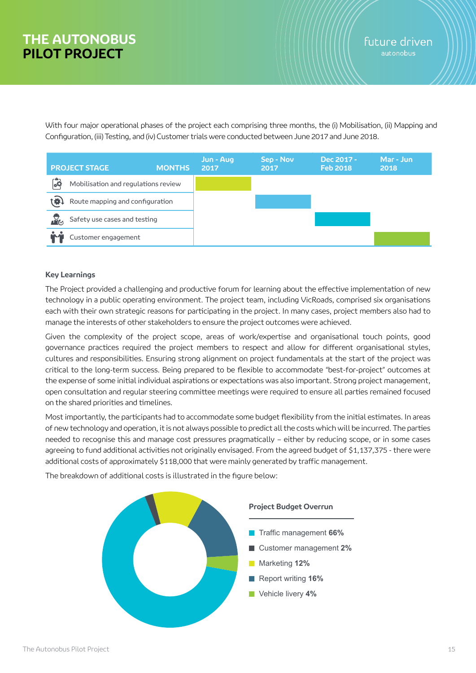With four major operational phases of the project each comprising three months, the (i) Mobilisation, (ii) Mapping and Configuration, (iii) Testing, and (iv) Customer trials were conducted between June 2017 and June 2018.



### **Key Learnings**

The Project provided a challenging and productive forum for learning about the effective implementation of new technology in a public operating environment. The project team, including VicRoads, comprised six organisations each with their own strategic reasons for participating in the project. In many cases, project members also had to manage the interests of other stakeholders to ensure the project outcomes were achieved.

Given the complexity of the project scope, areas of work/expertise and organisational touch points, good governance practices required the project members to respect and allow for different organisational styles, cultures and responsibilities. Ensuring strong alignment on project fundamentals at the start of the project was critical to the long-term success. Being prepared to be flexible to accommodate "best-for-project" outcomes at the expense of some initial individual aspirations or expectations was also important. Strong project management, open consultation and regular steering committee meetings were required to ensure all parties remained focused on the shared priorities and timelines.

Most importantly, the participants had to accommodate some budget flexibility from the initial estimates. In areas of new technology and operation, it is not always possible to predict all the costs which will be incurred. The parties needed to recognise this and manage cost pressures pragmatically – either by reducing scope, or in some cases agreeing to fund additional activities not originally envisaged. From the agreed budget of \$1,137,375 - there were additional costs of approximately \$118,000 that were mainly generated by traffic management.

The breakdown of additional costs is illustrated in the figure below:

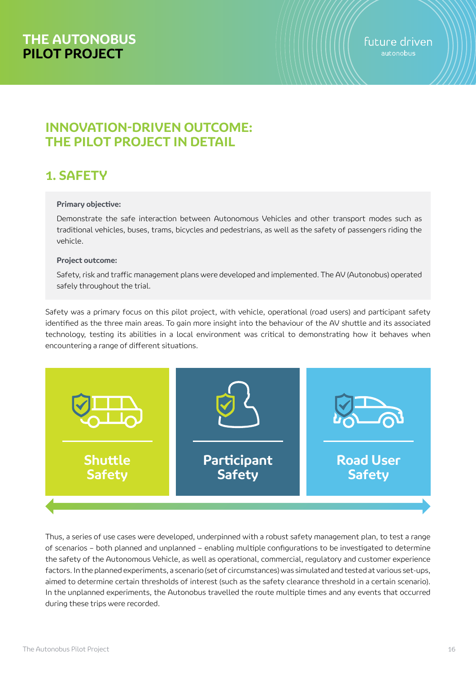# **INNOVATION-DRIVEN OUTCOME: THE PILOT PROJECT IN DETAIL**

# **1. SAFETY**

### **Primary objective:**

Demonstrate the safe interaction between Autonomous Vehicles and other transport modes such as traditional vehicles, buses, trams, bicycles and pedestrians, as well as the safety of passengers riding the vehicle.

### **Project outcome:**

Safety, risk and traffic management plans were developed and implemented. The AV (Autonobus) operated safely throughout the trial.

Safety was a primary focus on this pilot project, with vehicle, operational (road users) and participant safety identified as the three main areas. To gain more insight into the behaviour of the AV shuttle and its associated technology, testing its abilities in a local environment was critical to demonstrating how it behaves when encountering a range of different situations.



Thus, a series of use cases were developed, underpinned with a robust safety management plan, to test a range of scenarios – both planned and unplanned – enabling multiple configurations to be investigated to determine the safety of the Autonomous Vehicle, as well as operational, commercial, regulatory and customer experience factors. In the planned experiments, a scenario (set of circumstances) was simulated and tested at various set-ups, aimed to determine certain thresholds of interest (such as the safety clearance threshold in a certain scenario). In the unplanned experiments, the Autonobus travelled the route multiple times and any events that occurred during these trips were recorded.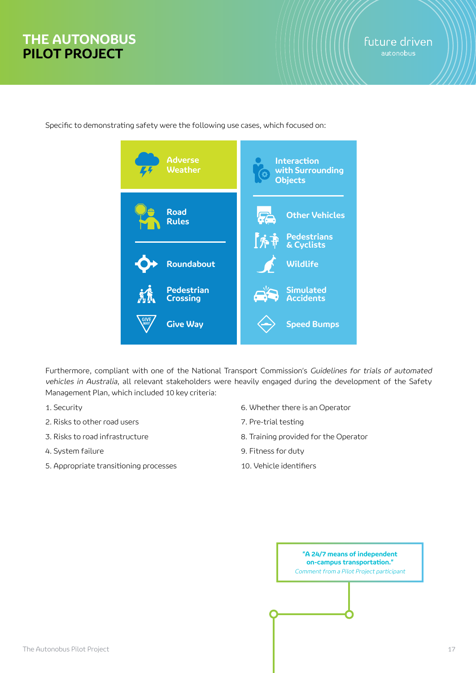**Interaction with Surrounding Objects Road Rules Adverse Weather Roundabout Pedestrian Crossing Pedestrians & Cyclists Other Vehicles Simulated Accidents Wildlife**

Specific to demonstrating safety were the following use cases, which focused on:

**Give Way**

Furthermore, compliant with one of the National Transport Commission's Guidelines for trials of automated vehicles in Australia, all relevant stakeholders were heavily engaged during the development of the Safety Management Plan, which included 10 key criteria:

- 1. Security
- 2. Risks to other road users
- 3. Risks to road infrastructure
- 4. System failure
- 5. Appropriate transitioning processes
- 6. Whether there is an Operator
- 7. Pre-trial testing
- 8. Training provided for the Operator

**Speed Bumps**

- 9. Fitness for duty
- 10. Vehicle identifiers

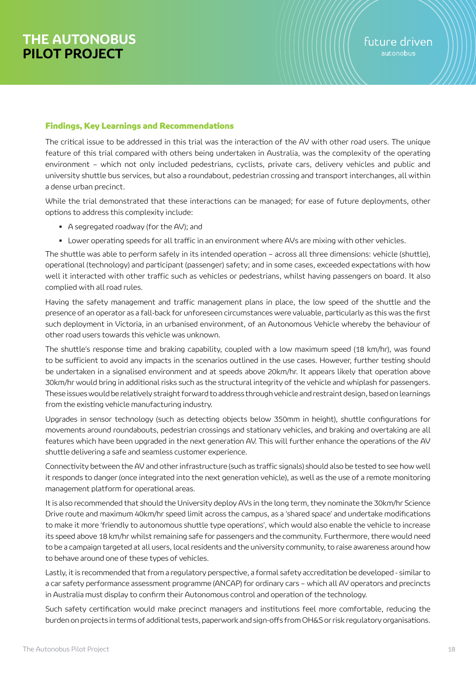### Findings, Key Learnings and Recommendations

The critical issue to be addressed in this trial was the interaction of the AV with other road users. The unique feature of this trial compared with others being undertaken in Australia, was the complexity of the operating environment – which not only included pedestrians, cyclists, private cars, delivery vehicles and public and university shuttle bus services, but also a roundabout, pedestrian crossing and transport interchanges, all within a dense urban precinct.

While the trial demonstrated that these interactions can be managed; for ease of future deployments, other options to address this complexity include:

- A segregated roadway (for the AV); and
- Lower operating speeds for all traffic in an environment where AVs are mixing with other vehicles.

The shuttle was able to perform safely in its intended operation – across all three dimensions: vehicle (shuttle), operational (technology) and participant (passenger) safety; and in some cases, exceeded expectations with how well it interacted with other traffic such as vehicles or pedestrians, whilst having passengers on board. It also complied with all road rules.

Having the safety management and traffic management plans in place, the low speed of the shuttle and the presence of an operator as a fall-back for unforeseen circumstances were valuable, particularly as this was the first such deployment in Victoria, in an urbanised environment, of an Autonomous Vehicle whereby the behaviour of other road users towards this vehicle was unknown.

The shuttle's response time and braking capability, coupled with a low maximum speed (18 km/hr), was found to be sufficient to avoid any impacts in the scenarios outlined in the use cases. However, further testing should be undertaken in a signalised environment and at speeds above 20km/hr. It appears likely that operation above 30km/hr would bring in additional risks such as the structural integrity of the vehicle and whiplash for passengers. These issues would be relatively straight forward to address through vehicle and restraint design, based on learnings from the existing vehicle manufacturing industry.

Upgrades in sensor technology (such as detecting objects below 350mm in height), shuttle configurations for movements around roundabouts, pedestrian crossings and stationary vehicles, and braking and overtaking are all features which have been upgraded in the next generation AV. This will further enhance the operations of the AV shuttle delivering a safe and seamless customer experience.

Connectivity between the AV and other infrastructure (such as traffic signals) should also be tested to see how well it responds to danger (once integrated into the next generation vehicle), as well as the use of a remote monitoring management platform for operational areas.

It is also recommended that should the University deploy AVs in the long term, they nominate the 30km/hr Science Drive route and maximum 40km/hr speed limit across the campus, as a 'shared space' and undertake modifications to make it more 'friendly to autonomous shuttle type operations', which would also enable the vehicle to increase its speed above 18 km/hr whilst remaining safe for passengers and the community. Furthermore, there would need to be a campaign targeted at all users, local residents and the university community, to raise awareness around how to behave around one of these types of vehicles.

Lastly, it is recommended that from a regulatory perspective, a formal safety accreditation be developed - similar to a car safety performance assessment programme (ANCAP) for ordinary cars – which all AV operators and precincts in Australia must display to confirm their Autonomous control and operation of the technology.

Such safety certification would make precinct managers and institutions feel more comfortable, reducing the burden on projects in terms of additional tests, paperwork and sign-offs from OH&S or risk regulatory organisations.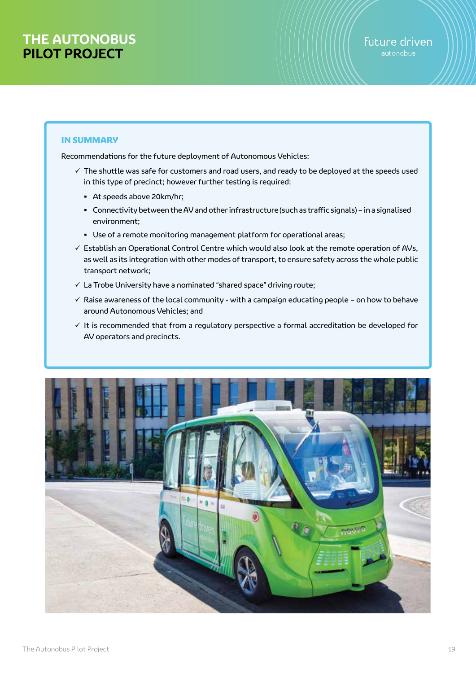### IN SUMMARY

Recommendations for the future deployment of Autonomous Vehicles:

- $\checkmark$  The shuttle was safe for customers and road users, and ready to be deployed at the speeds used in this type of precinct; however further testing is required:
	- At speeds above 20km/hr;
	- Connectivity between the AV and other infrastructure (such as traffic signals) in a signalised environment;
	- Use of a remote monitoring management platform for operational areas;
- $\checkmark$  Establish an Operational Control Centre which would also look at the remote operation of AVs, as well as its integration with other modes of transport, to ensure safety across the whole public transport network;
- $\checkmark$  La Trobe University have a nominated "shared space" driving route;
- $\checkmark$  Raise awareness of the local community with a campaign educating people on how to behave around Autonomous Vehicles; and
- $\checkmark$  It is recommended that from a regulatory perspective a formal accreditation be developed for AV operators and precincts.

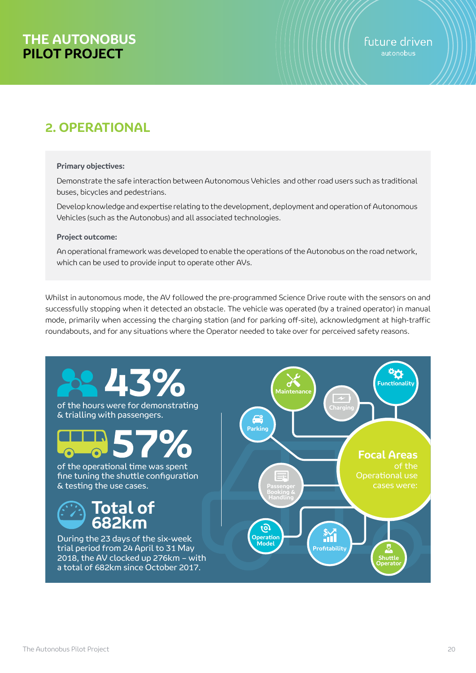# **2. OPERATIONAL**

#### **Primary objectives:**

Demonstrate the safe interaction between Autonomous Vehicles and other road users such as traditional buses, bicycles and pedestrians.

Develop knowledge and expertise relating to the development, deployment and operation of Autonomous Vehicles (such as the Autonobus) and all associated technologies.

#### **Project outcome:**

An operational framework was developed to enable the operations of the Autonobus on the road network, which can be used to provide input to operate other AVs.

Whilst in autonomous mode, the AV followed the pre-programmed Science Drive route with the sensors on and successfully stopping when it detected an obstacle. The vehicle was operated (by a trained operator) in manual mode, primarily when accessing the charging station (and for parking off-site), acknowledgment at high-traffic roundabouts, and for any situations where the Operator needed to take over for perceived safety reasons.

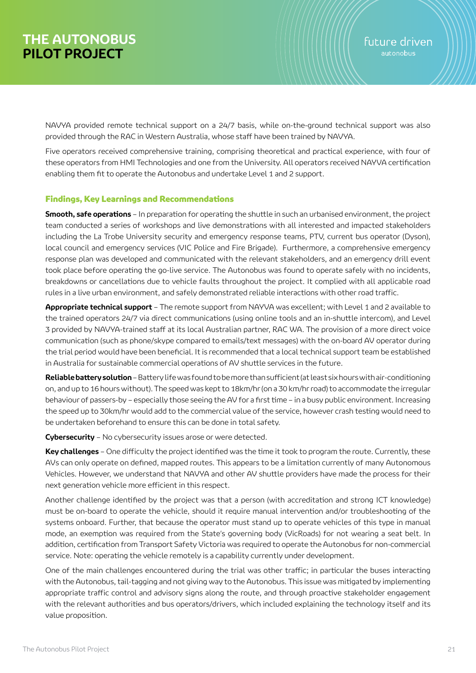NAVYA provided remote technical support on a 24/7 basis, while on-the-ground technical support was also provided through the RAC in Western Australia, whose staff have been trained by NAVYA.

Five operators received comprehensive training, comprising theoretical and practical experience, with four of these operators from HMI Technologies and one from the University. All operators received NAYVA certification enabling them fit to operate the Autonobus and undertake Level 1 and 2 support.

### Findings, Key Learnings and Recommendations

**Smooth, safe operations** – In preparation for operating the shuttle in such an urbanised environment, the project team conducted a series of workshops and live demonstrations with all interested and impacted stakeholders including the La Trobe University security and emergency response teams, PTV, current bus operator (Dyson), local council and emergency services (VIC Police and Fire Brigade). Furthermore, a comprehensive emergency response plan was developed and communicated with the relevant stakeholders, and an emergency drill event took place before operating the go-live service. The Autonobus was found to operate safely with no incidents, breakdowns or cancellations due to vehicle faults throughout the project. It complied with all applicable road rules in a live urban environment, and safely demonstrated reliable interactions with other road traffic.

**Appropriate technical support** – The remote support from NAYVA was excellent; with Level 1 and 2 available to the trained operators 24/7 via direct communications (using online tools and an in-shuttle intercom), and Level 3 provided by NAVYA-trained staff at its local Australian partner, RAC WA. The provision of a more direct voice communication (such as phone/skype compared to emails/text messages) with the on-board AV operator during the trial period would have been beneficial. It is recommended that a local technical support team be established in Australia for sustainable commercial operations of AV shuttle services in the future.

**Reliable battery solution** – Battery life was found to be more than sufficient (at least six hours with air-conditioning on, and up to 16 hours without). The speed was kept to 18km/hr (on a 30 km/hr road) to accommodate the irregular behaviour of passers-by – especially those seeing the AV for a first time – in a busy public environment. Increasing the speed up to 30km/hr would add to the commercial value of the service, however crash testing would need to be undertaken beforehand to ensure this can be done in total safety.

**Cybersecurity** – No cybersecurity issues arose or were detected.

**Key challenges** – One difficulty the project identified was the time it took to program the route. Currently, these AVs can only operate on defined, mapped routes. This appears to be a limitation currently of many Autonomous Vehicles. However, we understand that NAVYA and other AV shuttle providers have made the process for their next generation vehicle more efficient in this respect.

Another challenge identified by the project was that a person (with accreditation and strong ICT knowledge) must be on-board to operate the vehicle, should it require manual intervention and/or troubleshooting of the systems onboard. Further, that because the operator must stand up to operate vehicles of this type in manual mode, an exemption was required from the State's governing body (VicRoads) for not wearing a seat belt. In addition, certification from Transport Safety Victoria was required to operate the Autonobus for non-commercial service. Note: operating the vehicle remotely is a capability currently under development.

One of the main challenges encountered during the trial was other traffic; in particular the buses interacting with the Autonobus, tail-tagging and not giving way to the Autonobus. This issue was mitigated by implementing appropriate traffic control and advisory signs along the route, and through proactive stakeholder engagement with the relevant authorities and bus operators/drivers, which included explaining the technology itself and its value proposition.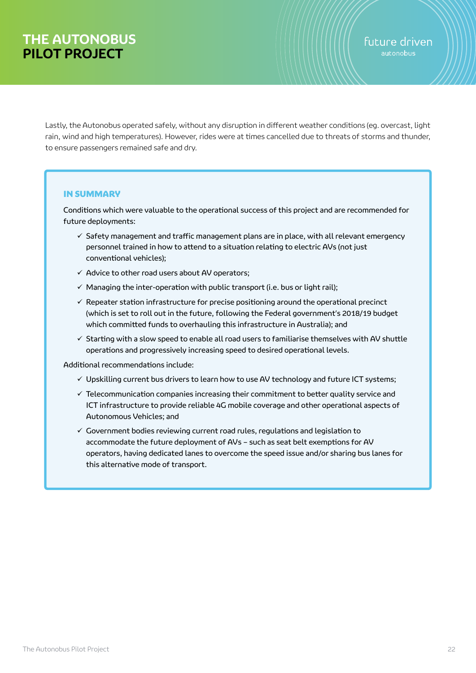Lastly, the Autonobus operated safely, without any disruption in different weather conditions (eg. overcast, light rain, wind and high temperatures). However, rides were at times cancelled due to threats of storms and thunder, to ensure passengers remained safe and dry.

### IN SUMMARY

Conditions which were valuable to the operational success of this project and are recommended for future deployments:

- $\checkmark$  Safety management and traffic management plans are in place, with all relevant emergency personnel trained in how to attend to a situation relating to electric AVs (not just conventional vehicles);
- $\checkmark$  Advice to other road users about AV operators;
- $\checkmark$  Managing the inter-operation with public transport (i.e. bus or light rail);
- $\checkmark$  Repeater station infrastructure for precise positioning around the operational precinct (which is set to roll out in the future, following the Federal government's 2018/19 budget which committed funds to overhauling this infrastructure in Australia); and
- $\checkmark$  Starting with a slow speed to enable all road users to familiarise themselves with AV shuttle operations and progressively increasing speed to desired operational levels.

Additional recommendations include:

- $\checkmark$  Upskilling current bus drivers to learn how to use AV technology and future ICT systems;
- $\checkmark$  Telecommunication companies increasing their commitment to better quality service and ICT infrastructure to provide reliable 4G mobile coverage and other operational aspects of Autonomous Vehicles; and
- $\checkmark$  Government bodies reviewing current road rules, regulations and legislation to accommodate the future deployment of AVs – such as seat belt exemptions for AV operators, having dedicated lanes to overcome the speed issue and/or sharing bus lanes for this alternative mode of transport.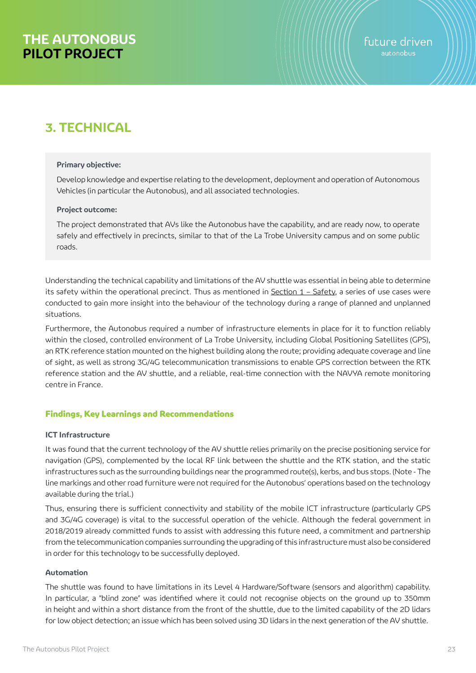# **3. TECHNICAL**

#### **Primary objective:**

Develop knowledge and expertise relating to the development, deployment and operation of Autonomous Vehicles (in particular the Autonobus), and all associated technologies.

#### **Project outcome:**

The project demonstrated that AVs like the Autonobus have the capability, and are ready now, to operate safely and effectively in precincts, similar to that of the La Trobe University campus and on some public roads.

Understanding the technical capability and limitations of the AV shuttle was essential in being able to determine its safety within the operational precinct. Thus as mentioned in  $S$ ection  $1 - S$ afety, a series of use cases were conducted to gain more insight into the behaviour of the technology during a range of planned and unplanned situations.

Furthermore, the Autonobus required a number of infrastructure elements in place for it to function reliably within the closed, controlled environment of La Trobe University, including Global Positioning Satellites (GPS), an RTK reference station mounted on the highest building along the route; providing adequate coverage and line of sight, as well as strong 3G/4G telecommunication transmissions to enable GPS correction between the RTK reference station and the AV shuttle, and a reliable, real-time connection with the NAVYA remote monitoring centre in France.

### Findings, Key Learnings and Recommendations

#### **ICT Infrastructure**

It was found that the current technology of the AV shuttle relies primarily on the precise positioning service for navigation (GPS), complemented by the local RF link between the shuttle and the RTK station, and the static infrastructures such as the surrounding buildings near the programmed route(s), kerbs, and bus stops. (Note - The line markings and other road furniture were not required for the Autonobus' operations based on the technology available during the trial.)

Thus, ensuring there is sufficient connectivity and stability of the mobile ICT infrastructure (particularly GPS and 3G/4G coverage) is vital to the successful operation of the vehicle. Although the federal government in 2018/2019 already committed funds to assist with addressing this future need, a commitment and partnership from the telecommunication companies surrounding the upgrading of this infrastructure must also be considered in order for this technology to be successfully deployed.

#### **Automation**

The shuttle was found to have limitations in its Level 4 Hardware/Software (sensors and algorithm) capability. In particular, a "blind zone" was identified where it could not recognise objects on the ground up to 350mm in height and within a short distance from the front of the shuttle, due to the limited capability of the 2D lidars for low object detection; an issue which has been solved using 3D lidars in the next generation of the AV shuttle.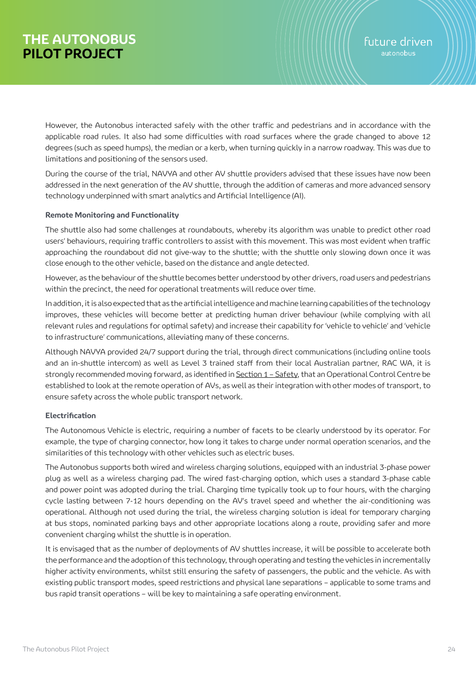However, the Autonobus interacted safely with the other traffic and pedestrians and in accordance with the applicable road rules. It also had some difficulties with road surfaces where the grade changed to above 12 degrees (such as speed humps), the median or a kerb, when turning quickly in a narrow roadway. This was due to limitations and positioning of the sensors used.

During the course of the trial, NAVYA and other AV shuttle providers advised that these issues have now been addressed in the next generation of the AV shuttle, through the addition of cameras and more advanced sensory technology underpinned with smart analytics and Artificial Intelligence (AI).

### **Remote Monitoring and Functionality**

The shuttle also had some challenges at roundabouts, whereby its algorithm was unable to predict other road users' behaviours, requiring traffic controllers to assist with this movement. This was most evident when traffic approaching the roundabout did not give-way to the shuttle; with the shuttle only slowing down once it was close enough to the other vehicle, based on the distance and angle detected.

However, as the behaviour of the shuttle becomes better understood by other drivers, road users and pedestrians within the precinct, the need for operational treatments will reduce over time.

In addition, it is also expected that as the artificial intelligence and machine learning capabilities of the technology improves, these vehicles will become better at predicting human driver behaviour (while complying with all relevant rules and regulations for optimal safety) and increase their capability for 'vehicle to vehicle' and 'vehicle to infrastructure' communications, alleviating many of these concerns.

Although NAVYA provided 24/7 support during the trial, through direct communications (including online tools and an in-shuttle intercom) as well as Level 3 trained staff from their local Australian partner, RAC WA, it is strongly recommended moving forward, as identified in Section 1 – Safety, that an Operational Control Centre be established to look at the remote operation of AVs, as well as their integration with other modes of transport, to ensure safety across the whole public transport network.

### **Electrification**

The Autonomous Vehicle is electric, requiring a number of facets to be clearly understood by its operator. For example, the type of charging connector, how long it takes to charge under normal operation scenarios, and the similarities of this technology with other vehicles such as electric buses.

The Autonobus supports both wired and wireless charging solutions, equipped with an industrial 3-phase power plug as well as a wireless charging pad. The wired fast-charging option, which uses a standard 3-phase cable and power point was adopted during the trial. Charging time typically took up to four hours, with the charging cycle lasting between 7-12 hours depending on the AV's travel speed and whether the air-conditioning was operational. Although not used during the trial, the wireless charging solution is ideal for temporary charging at bus stops, nominated parking bays and other appropriate locations along a route, providing safer and more convenient charging whilst the shuttle is in operation.

It is envisaged that as the number of deployments of AV shuttles increase, it will be possible to accelerate both the performance and the adoption of this technology, through operating and testing the vehicles in incrementally higher activity environments, whilst still ensuring the safety of passengers, the public and the vehicle. As with existing public transport modes, speed restrictions and physical lane separations – applicable to some trams and bus rapid transit operations – will be key to maintaining a safe operating environment.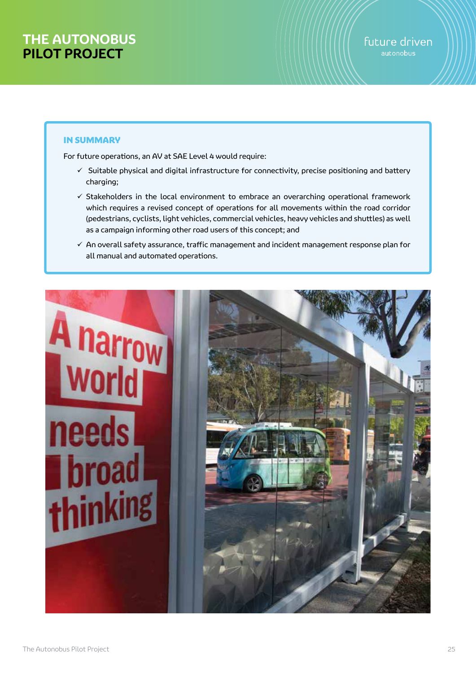### IN SUMMARY

For future operations, an AV at SAE Level 4 would require:

- $\checkmark$  Suitable physical and digital infrastructure for connectivity, precise positioning and battery charging;
- $\checkmark$  Stakeholders in the local environment to embrace an overarching operational framework which requires a revised concept of operations for all movements within the road corridor (pedestrians, cyclists, light vehicles, commercial vehicles, heavy vehicles and shuttles) as well as a campaign informing other road users of this concept; and
- $\checkmark$  An overall safety assurance, traffic management and incident management response plan for all manual and automated operations.

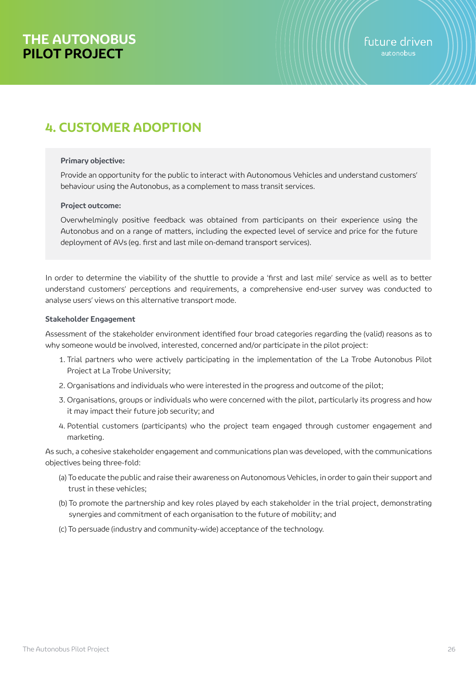# **4. CUSTOMER ADOPTION**

#### **Primary objective:**

Provide an opportunity for the public to interact with Autonomous Vehicles and understand customers' behaviour using the Autonobus, as a complement to mass transit services.

#### **Project outcome:**

Overwhelmingly positive feedback was obtained from participants on their experience using the Autonobus and on a range of matters, including the expected level of service and price for the future deployment of AVs (eg. first and last mile on-demand transport services).

In order to determine the viability of the shuttle to provide a 'first and last mile' service as well as to better understand customers' perceptions and requirements, a comprehensive end-user survey was conducted to analyse users' views on this alternative transport mode.

#### **Stakeholder Engagement**

Assessment of the stakeholder environment identified four broad categories regarding the (valid) reasons as to why someone would be involved, interested, concerned and/or participate in the pilot project:

- 1. Trial partners who were actively participating in the implementation of the La Trobe Autonobus Pilot Project at La Trobe University;
- 2. Organisations and individuals who were interested in the progress and outcome of the pilot;
- 3. Organisations, groups or individuals who were concerned with the pilot, particularly its progress and how it may impact their future job security; and
- 4. Potential customers (participants) who the project team engaged through customer engagement and marketing.

As such, a cohesive stakeholder engagement and communications plan was developed, with the communications objectives being three-fold:

- (a) To educate the public and raise their awareness on Autonomous Vehicles, in order to gain their support and trust in these vehicles;
- (b) To promote the partnership and key roles played by each stakeholder in the trial project, demonstrating synergies and commitment of each organisation to the future of mobility; and
- (c) To persuade (industry and community-wide) acceptance of the technology.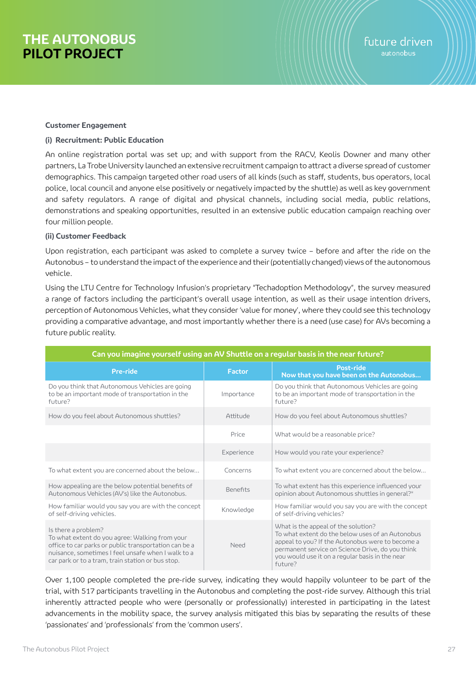#### **Customer Engagement**

#### **(i) Recruitment: Public Education**

An online registration portal was set up; and with support from the RACV, Keolis Downer and many other partners, La Trobe University launched an extensive recruitment campaign to attract a diverse spread of customer demographics. This campaign targeted other road users of all kinds (such as staff, students, bus operators, local police, local council and anyone else positively or negatively impacted by the shuttle) as well as key government and safety regulators. A range of digital and physical channels, including social media, public relations, demonstrations and speaking opportunities, resulted in an extensive public education campaign reaching over four million people.

#### **(ii) Customer Feedback**

Upon registration, each participant was asked to complete a survey twice – before and after the ride on the Autonobus – to understand the impact of the experience and their (potentially changed) views of the autonomous vehicle.

Using the LTU Centre for Technology Infusion's proprietary "Techadoption Methodology", the survey measured a range of factors including the participant's overall usage intention, as well as their usage intention drivers, perception of Autonomous Vehicles, what they consider 'value for money', where they could see this technology providing a comparative advantage, and most importantly whether there is a need (use case) for AVs becoming a future public reality.

| Can you imagine yourself using an AV Shuttle on a regular basis in the near future?                                                                                                                                                       |                 |                                                                                                                                                                                                                                                               |  |  |
|-------------------------------------------------------------------------------------------------------------------------------------------------------------------------------------------------------------------------------------------|-----------------|---------------------------------------------------------------------------------------------------------------------------------------------------------------------------------------------------------------------------------------------------------------|--|--|
| <b>Pre-ride</b>                                                                                                                                                                                                                           | <b>Factor</b>   | Post-ride<br>Now that you have been on the Autonobus                                                                                                                                                                                                          |  |  |
| Do you think that Autonomous Vehicles are going<br>to be an important mode of transportation in the<br>future?                                                                                                                            | Importance      | Do you think that Autonomous Vehicles are going<br>to be an important mode of transportation in the<br>future?                                                                                                                                                |  |  |
| How do you feel about Autonomous shuttles?                                                                                                                                                                                                | Attitude        | How do you feel about Autonomous shuttles?                                                                                                                                                                                                                    |  |  |
|                                                                                                                                                                                                                                           | Price           | What would be a reasonable price?                                                                                                                                                                                                                             |  |  |
|                                                                                                                                                                                                                                           | Experience      | How would you rate your experience?                                                                                                                                                                                                                           |  |  |
| To what extent you are concerned about the below                                                                                                                                                                                          | Concerns        | To what extent you are concerned about the below                                                                                                                                                                                                              |  |  |
| How appealing are the below potential benefits of<br>Autonomous Vehicles (AV's) like the Autonobus.                                                                                                                                       | <b>Benefits</b> | To what extent has this experience influenced your<br>opinion about Autonomous shuttles in general?*                                                                                                                                                          |  |  |
| How familiar would you say you are with the concept<br>of self-driving vehicles.                                                                                                                                                          | Knowledge       | How familiar would you say you are with the concept<br>of self-driving vehicles?                                                                                                                                                                              |  |  |
| Is there a problem?<br>To what extent do you agree: Walking from your<br>office to car parks or public transportation can be a<br>nuisance, sometimes I feel unsafe when I walk to a<br>car park or to a tram, train station or bus stop. | Need            | What is the appeal of the solution?<br>To what extent do the below uses of an Autonobus<br>appeal to you? If the Autonobus were to become a<br>permanent service on Science Drive, do you think<br>you would use it on a regular basis in the near<br>future? |  |  |

Over 1,100 people completed the pre-ride survey, indicating they would happily volunteer to be part of the trial, with 517 participants travelling in the Autonobus and completing the post-ride survey. Although this trial inherently attracted people who were (personally or professionally) interested in participating in the latest advancements in the mobility space, the survey analysis mitigated this bias by separating the results of these 'passionates' and 'professionals' from the 'common users'.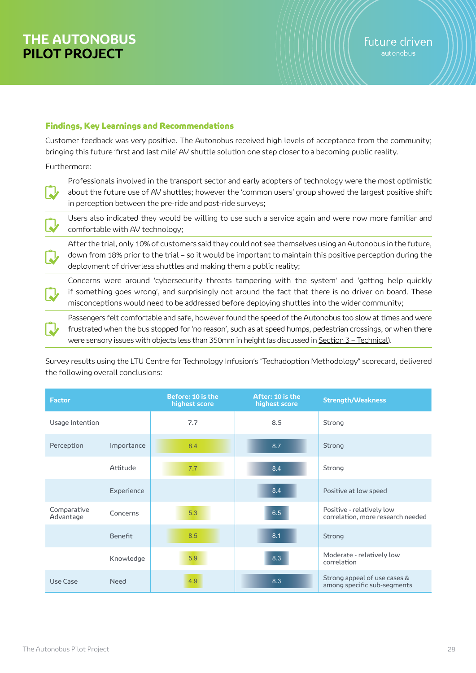### Findings, Key Learnings and Recommendations

Customer feedback was very positive. The Autonobus received high levels of acceptance from the community; bringing this future 'first and last mile' AV shuttle solution one step closer to a becoming public reality.

Furthermore:

Professionals involved in the transport sector and early adopters of technology were the most optimistic about the future use of AV shuttles; however the 'common users' group showed the largest positive shift in perception between the pre-ride and post-ride surveys;

Users also indicated they would be willing to use such a service again and were now more familiar and comfortable with AV technology;

After the trial, only 10% of customers said they could not see themselves using an Autonobus in the future, down from 18% prior to the trial – so it would be important to maintain this positive perception during the deployment of driverless shuttles and making them a public reality;

Concerns were around 'cybersecurity threats tampering with the system' and 'getting help quickly if something goes wrong', and surprisingly not around the fact that there is no driver on board. These misconceptions would need to be addressed before deploying shuttles into the wider community;

Passengers felt comfortable and safe, however found the speed of the Autonobus too slow at times and were frustrated when the bus stopped for 'no reason', such as at speed humps, pedestrian crossings, or when there were sensory issues with objects less than 350mm in height (as discussed in Section 3 - Technical).

Survey results using the LTU Centre for Technology Infusion's "Techadoption Methodology" scorecard, delivered the following overall conclusions:

| <b>Factor</b>            |             | Before: 10 is the<br>highest score | After: 10 is the<br>highest score | <b>Strength/Weakness</b>                                       |
|--------------------------|-------------|------------------------------------|-----------------------------------|----------------------------------------------------------------|
| Usage Intention          |             | 7.7                                | 8.5                               | Strong                                                         |
| Perception               | Importance  | 8.4                                | 8.7                               | Strong                                                         |
|                          | Attitude    | 7.7                                | 8.4                               | Strong                                                         |
|                          | Experience  |                                    | 8.4                               | Positive at low speed                                          |
| Comparative<br>Advantage | Concerns    | 5.3                                | 6.5                               | Positive - relatively low<br>correlation, more research needed |
|                          | Benefit     | 8.5                                | 8.1                               | Strong                                                         |
|                          | Knowledge   | 5.9                                | 8.3                               | Moderate - relatively low<br>correlation                       |
| Use Case                 | <b>Need</b> | 4.9                                | 8.3                               | Strong appeal of use cases &<br>among specific sub-segments    |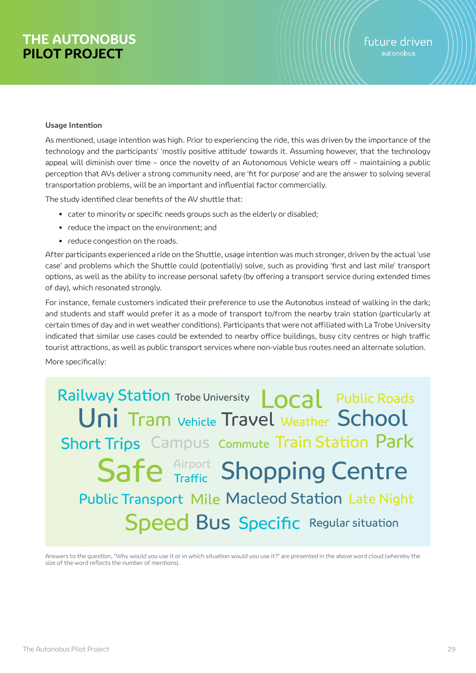#### **Usage Intention**

As mentioned, usage intention was high. Prior to experiencing the ride, this was driven by the importance of the technology and the participants' 'mostly positive attitude' towards it. Assuming however, that the technology appeal will diminish over time – once the novelty of an Autonomous Vehicle wears off – maintaining a public perception that AVs deliver a strong community need, are 'fit for purpose' and are the answer to solving several transportation problems, will be an important and influential factor commercially.

The study identified clear benefits of the AV shuttle that:

- cater to minority or specific needs groups such as the elderly or disabled;
- reduce the impact on the environment; and
- reduce congestion on the roads.

After participants experienced a ride on the Shuttle, usage intention was much stronger, driven by the actual 'use case' and problems which the Shuttle could (potentially) solve, such as providing 'first and last mile' transport options, as well as the ability to increase personal safety (by offering a transport service during extended times of day), which resonated strongly.

For instance, female customers indicated their preference to use the Autonobus instead of walking in the dark; and students and staff would prefer it as a mode of transport to/from the nearby train station (particularly at certain times of day and in wet weather conditions). Participants that were not affiliated with La Trobe University indicated that similar use cases could be extended to nearby office buildings, busy city centres or high traffic tourist attractions, as well as public transport services where non-viable bus routes need an alternate solution.

More specifically:

Railway Station Trobe University Local Public Roads Uni Tram Vehicle Travel Weather School **Short Trips** Campus commute Train Station Park Safe **Airport** Shopping Centre **Public Transport Mile Macleod Station Late Night Speed Bus Specific Regular situation** 

Answers to the question, "Why would you use it or in which situation would you use it?" are presented in the above word cloud (whereby the size of the word reflects the number of mentions).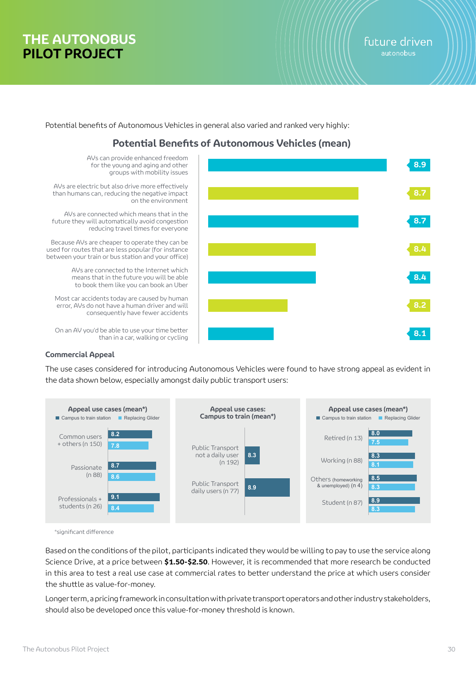Potential benefits of Autonomous Vehicles in general also varied and ranked very highly:

# **Potential Benefits of Autonomous Vehicles (mean)**



#### **Commercial Appeal**

The use cases considered for introducing Autonomous Vehicles were found to have strong appeal as evident in the data shown below, especially amongst daily public transport users:



\*significant difference

Based on the conditions of the pilot, participants indicated they would be willing to pay to use the service along Science Drive, at a price between **\$1.50-\$2.50**. However, it is recommended that more research be conducted in this area to test a real use case at commercial rates to better understand the price at which users consider the shuttle as value-for-money.

Longer term, a pricing framework in consultation with private transport operators and other industry stakeholders, should also be developed once this value-for-money threshold is known.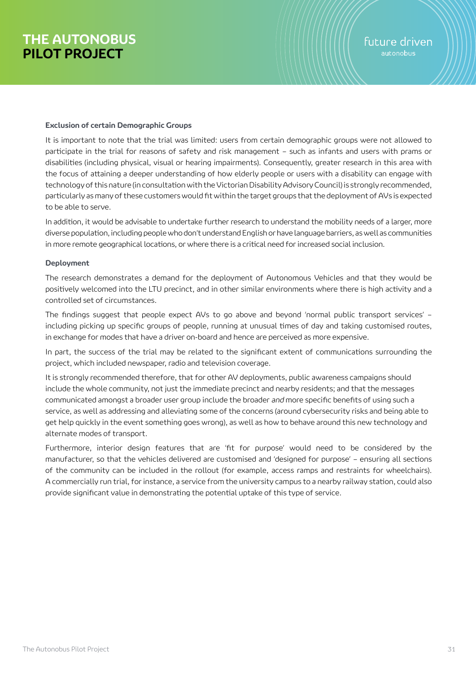#### **Exclusion of certain Demographic Groups**

It is important to note that the trial was limited: users from certain demographic groups were not allowed to participate in the trial for reasons of safety and risk management – such as infants and users with prams or disabilities (including physical, visual or hearing impairments). Consequently, greater research in this area with the focus of attaining a deeper understanding of how elderly people or users with a disability can engage with technology of this nature (in consultation with the Victorian Disability Advisory Council) is strongly recommended, particularly as many of these customers would fit within the target groups that the deployment of AVs is expected to be able to serve.

In addition, it would be advisable to undertake further research to understand the mobility needs of a larger, more diverse population, including people who don't understand English or have language barriers, as well as communities in more remote geographical locations, or where there is a critical need for increased social inclusion.

### **Deployment**

The research demonstrates a demand for the deployment of Autonomous Vehicles and that they would be positively welcomed into the LTU precinct, and in other similar environments where there is high activity and a controlled set of circumstances.

The findings suggest that people expect AVs to go above and beyond 'normal public transport services' – including picking up specific groups of people, running at unusual times of day and taking customised routes, in exchange for modes that have a driver on-board and hence are perceived as more expensive.

In part, the success of the trial may be related to the significant extent of communications surrounding the project, which included newspaper, radio and television coverage.

It is strongly recommended therefore, that for other AV deployments, public awareness campaigns should include the whole community, not just the immediate precinct and nearby residents; and that the messages communicated amongst a broader user group include the broader and more specific benefits of using such a service, as well as addressing and alleviating some of the concerns (around cybersecurity risks and being able to get help quickly in the event something goes wrong), as well as how to behave around this new technology and alternate modes of transport.

Furthermore, interior design features that are 'fit for purpose' would need to be considered by the manufacturer, so that the vehicles delivered are customised and 'designed for purpose' – ensuring all sections of the community can be included in the rollout (for example, access ramps and restraints for wheelchairs). A commercially run trial, for instance, a service from the university campus to a nearby railway station, could also provide significant value in demonstrating the potential uptake of this type of service.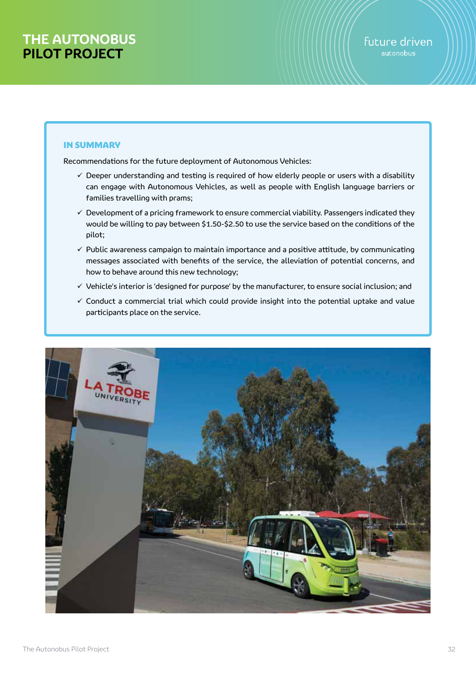## IN SUMMARY

Recommendations for the future deployment of Autonomous Vehicles:

- $\checkmark$  Deeper understanding and testing is required of how elderly people or users with a disability can engage with Autonomous Vehicles, as well as people with English language barriers or families travelling with prams;
- $\checkmark$  Development of a pricing framework to ensure commercial viability. Passengers indicated they would be willing to pay between \$1.50-\$2.50 to use the service based on the conditions of the pilot;
- $\checkmark$  Public awareness campaign to maintain importance and a positive attitude, by communicating messages associated with benefits of the service, the alleviation of potential concerns, and how to behave around this new technology;
- $\checkmark$  Vehicle's interior is 'designed for purpose' by the manufacturer, to ensure social inclusion; and
- $\checkmark$  Conduct a commercial trial which could provide insight into the potential uptake and value participants place on the service.

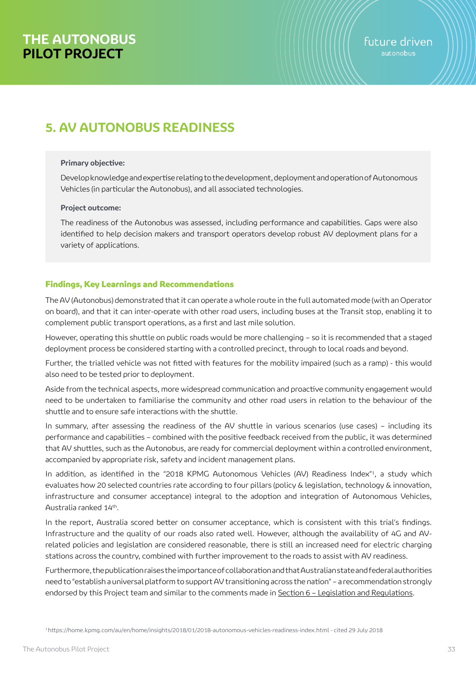# **5. AV AUTONOBUS READINESS**

#### **Primary objective:**

Develop knowledge and expertise relating to the development, deployment and operation of Autonomous Vehicles (in particular the Autonobus), and all associated technologies.

#### **Project outcome:**

The readiness of the Autonobus was assessed, including performance and capabilities. Gaps were also identified to help decision makers and transport operators develop robust AV deployment plans for a variety of applications.

### Findings, Key Learnings and Recommendations

The AV (Autonobus) demonstrated that it can operate a whole route in the full automated mode (with an Operator on board), and that it can inter-operate with other road users, including buses at the Transit stop, enabling it to complement public transport operations, as a first and last mile solution.

However, operating this shuttle on public roads would be more challenging – so it is recommended that a staged deployment process be considered starting with a controlled precinct, through to local roads and beyond.

Further, the trialled vehicle was not fitted with features for the mobility impaired (such as a ramp) - this would also need to be tested prior to deployment.

Aside from the technical aspects, more widespread communication and proactive community engagement would need to be undertaken to familiarise the community and other road users in relation to the behaviour of the shuttle and to ensure safe interactions with the shuttle.

In summary, after assessing the readiness of the AV shuttle in various scenarios (use cases) – including its performance and capabilities – combined with the positive feedback received from the public, it was determined that AV shuttles, such as the Autonobus, are ready for commercial deployment within a controlled environment, accompanied by appropriate risk, safety and incident management plans.

In addition, as identified in the "2018 KPMG Autonomous Vehicles (AV) Readiness Index"1, a study which evaluates how 20 selected countries rate according to four pillars (policy & legislation, technology & innovation, infrastructure and consumer acceptance) integral to the adoption and integration of Autonomous Vehicles, Australia ranked 14th.

In the report, Australia scored better on consumer acceptance, which is consistent with this trial's findings. Infrastructure and the quality of our roads also rated well. However, although the availability of 4G and AVrelated policies and legislation are considered reasonable, there is still an increased need for electric charging stations across the country, combined with further improvement to the roads to assist with AV readiness.

Furthermore, the publication raises the importance of collaboration and that Australian state and federal authorities need to "establish a universal platform to support AV transitioning across the nation" – a recommendation strongly endorsed by this Project team and similar to the comments made in Section 6 - Legislation and Regulations.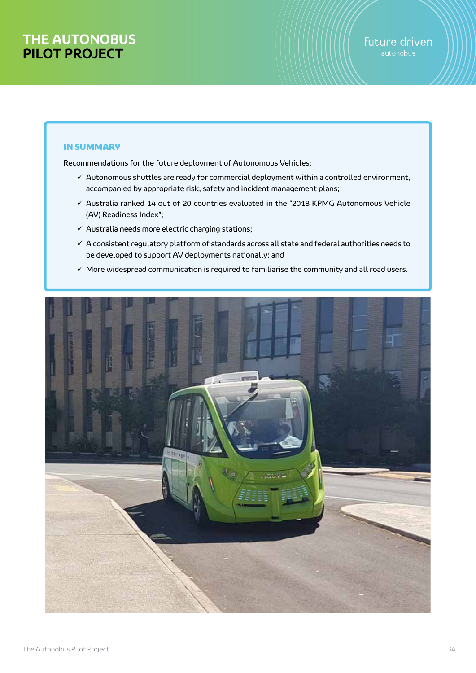### IN SUMMARY

Recommendations for the future deployment of Autonomous Vehicles:

- $\checkmark$  Autonomous shuttles are ready for commercial deployment within a controlled environment, accompanied by appropriate risk, safety and incident management plans;
- $\checkmark$  Australia ranked 14 out of 20 countries evaluated in the "2018 KPMG Autonomous Vehicle (AV) Readiness Index";
- $\checkmark$  Australia needs more electric charging stations;
- $\checkmark$  A consistent regulatory platform of standards across all state and federal authorities needs to be developed to support AV deployments nationally; and
- $\checkmark$  More widespread communication is required to familiarise the community and all road users.

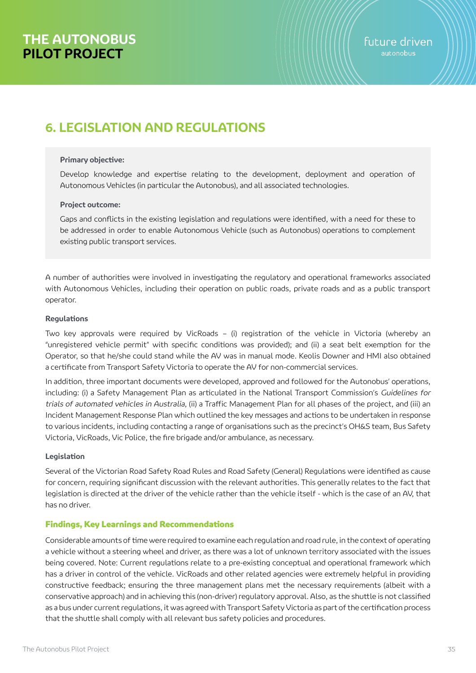# **6. LEGISLATION AND REGULATIONS**

#### **Primary objective:**

Develop knowledge and expertise relating to the development, deployment and operation of Autonomous Vehicles (in particular the Autonobus), and all associated technologies.

#### **Project outcome:**

Gaps and conflicts in the existing legislation and regulations were identified, with a need for these to be addressed in order to enable Autonomous Vehicle (such as Autonobus) operations to complement existing public transport services.

A number of authorities were involved in investigating the regulatory and operational frameworks associated with Autonomous Vehicles, including their operation on public roads, private roads and as a public transport operator.

### **Regulations**

Two key approvals were required by VicRoads – (i) registration of the vehicle in Victoria (whereby an "unregistered vehicle permit" with specific conditions was provided); and (ii) a seat belt exemption for the Operator, so that he/she could stand while the AV was in manual mode. Keolis Downer and HMI also obtained a certificate from Transport Safety Victoria to operate the AV for non-commercial services.

In addition, three important documents were developed, approved and followed for the Autonobus' operations, including: (i) a Safety Management Plan as articulated in the National Transport Commission's Guidelines for trials of automated vehicles in Australia, (ii) a Traffic Management Plan for all phases of the project, and (iii) an Incident Management Response Plan which outlined the key messages and actions to be undertaken in response to various incidents, including contacting a range of organisations such as the precinct's OH&S team, Bus Safety Victoria, VicRoads, Vic Police, the fire brigade and/or ambulance, as necessary.

### **Legislation**

Several of the Victorian Road Safety Road Rules and Road Safety (General) Regulations were identified as cause for concern, requiring significant discussion with the relevant authorities. This generally relates to the fact that legislation is directed at the driver of the vehicle rather than the vehicle itself - which is the case of an AV, that has no driver.

### Findings, Key Learnings and Recommendations

Considerable amounts of time were required to examine each regulation and road rule, in the context of operating a vehicle without a steering wheel and driver, as there was a lot of unknown territory associated with the issues being covered. Note: Current regulations relate to a pre-existing conceptual and operational framework which has a driver in control of the vehicle. VicRoads and other related agencies were extremely helpful in providing constructive feedback; ensuring the three management plans met the necessary requirements (albeit with a conservative approach) and in achieving this (non-driver) regulatory approval. Also, as the shuttle is not classified as a bus under current regulations, it was agreed with Transport Safety Victoria as part of the certification process that the shuttle shall comply with all relevant bus safety policies and procedures.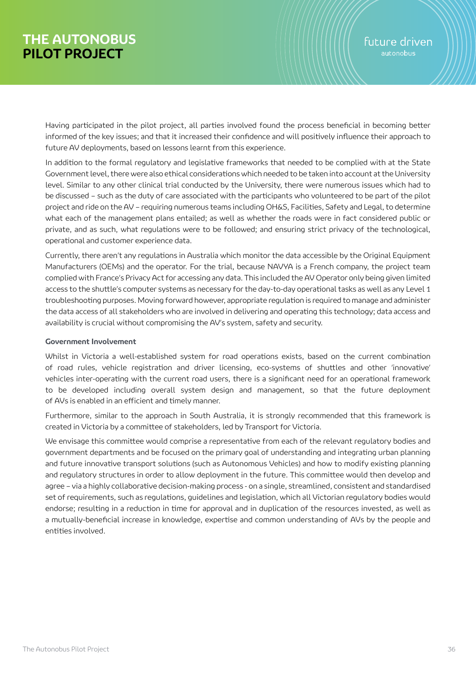Having participated in the pilot project, all parties involved found the process beneficial in becoming better informed of the key issues; and that it increased their confidence and will positively influence their approach to future AV deployments, based on lessons learnt from this experience.

In addition to the formal regulatory and legislative frameworks that needed to be complied with at the State Government level, there were also ethical considerations which needed to be taken into account at the University level. Similar to any other clinical trial conducted by the University, there were numerous issues which had to be discussed – such as the duty of care associated with the participants who volunteered to be part of the pilot project and ride on the AV – requiring numerous teams including OH&S, Facilities, Safety and Legal, to determine what each of the management plans entailed; as well as whether the roads were in fact considered public or private, and as such, what regulations were to be followed; and ensuring strict privacy of the technological, operational and customer experience data.

Currently, there aren't any regulations in Australia which monitor the data accessible by the Original Equipment Manufacturers (OEMs) and the operator. For the trial, because NAVYA is a French company, the project team complied with France's Privacy Act for accessing any data. This included the AV Operator only being given limited access to the shuttle's computer systems as necessary for the day-to-day operational tasks as well as any Level 1 troubleshooting purposes. Moving forward however, appropriate regulation is required to manage and administer the data access of all stakeholders who are involved in delivering and operating this technology; data access and availability is crucial without compromising the AV's system, safety and security.

### **Government Involvement**

Whilst in Victoria a well-established system for road operations exists, based on the current combination of road rules, vehicle registration and driver licensing, eco-systems of shuttles and other 'innovative' vehicles inter-operating with the current road users, there is a significant need for an operational framework to be developed including overall system design and management, so that the future deployment of AVs is enabled in an efficient and timely manner.

Furthermore, similar to the approach in South Australia, it is strongly recommended that this framework is created in Victoria by a committee of stakeholders, led by Transport for Victoria.

We envisage this committee would comprise a representative from each of the relevant regulatory bodies and government departments and be focused on the primary goal of understanding and integrating urban planning and future innovative transport solutions (such as Autonomous Vehicles) and how to modify existing planning and regulatory structures in order to allow deployment in the future. This committee would then develop and agree – via a highly collaborative decision-making process - on a single, streamlined, consistent and standardised set of requirements, such as regulations, guidelines and legislation, which all Victorian regulatory bodies would endorse; resulting in a reduction in time for approval and in duplication of the resources invested, as well as a mutually-beneficial increase in knowledge, expertise and common understanding of AVs by the people and entities involved.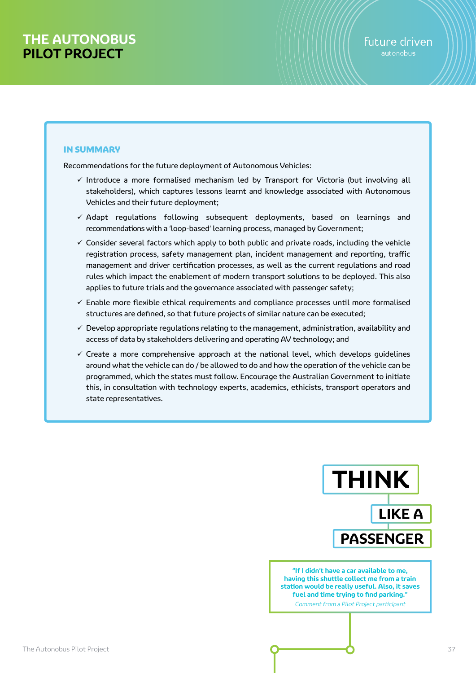### IN SUMMARY

Recommendations for the future deployment of Autonomous Vehicles:

- $\checkmark$  Introduce a more formalised mechanism led by Transport for Victoria (but involving all stakeholders), which captures lessons learnt and knowledge associated with Autonomous Vehicles and their future deployment;
- $\checkmark$  Adapt regulations following subsequent deployments, based on learnings and recommendations with a 'loop-based' learning process, managed by Government;
- $\checkmark$  Consider several factors which apply to both public and private roads, including the vehicle registration process, safety management plan, incident management and reporting, traffic management and driver certification processes, as well as the current regulations and road rules which impact the enablement of modern transport solutions to be deployed. This also applies to future trials and the governance associated with passenger safety;
- $\checkmark$  Enable more flexible ethical requirements and compliance processes until more formalised structures are defined, so that future projects of similar nature can be executed;
- $\checkmark$  Develop appropriate regulations relating to the management, administration, availability and access of data by stakeholders delivering and operating AV technology; and
- $\checkmark$  Create a more comprehensive approach at the national level, which develops guidelines around what the vehicle can do / be allowed to do and how the operation of the vehicle can be programmed, which the states must follow. Encourage the Australian Government to initiate this, in consultation with technology experts, academics, ethicists, transport operators and state representatives.



**"If I didn't have a car available to me, having this shuttle collect me from a train station would be really useful. Also, it saves fuel and time trying to find parking."** Comment from a Pilot Project participant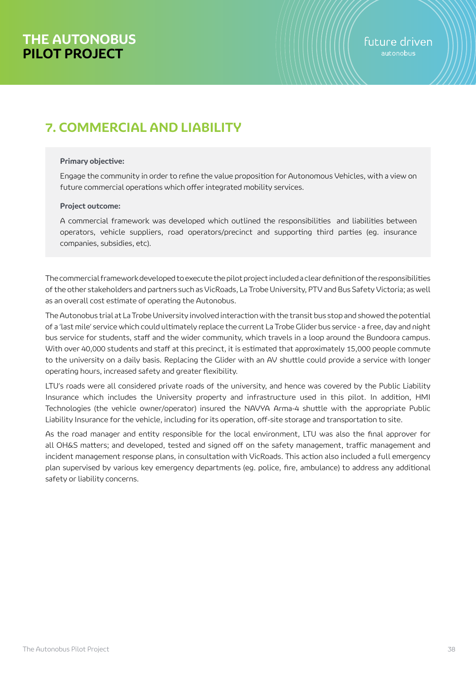# **7. COMMERCIAL AND LIABILITY**

#### **Primary objective:**

Engage the community in order to refine the value proposition for Autonomous Vehicles, with a view on future commercial operations which offer integrated mobility services.

#### **Project outcome:**

A commercial framework was developed which outlined the responsibilities and liabilities between operators, vehicle suppliers, road operators/precinct and supporting third parties (eg. insurance companies, subsidies, etc).

The commercial framework developed to execute the pilot project included a clear definition of the responsibilities of the other stakeholders and partners such as VicRoads, La Trobe University, PTV and Bus Safety Victoria; as well as an overall cost estimate of operating the Autonobus.

The Autonobus trial at La Trobe University involved interaction with the transit bus stop and showed the potential of a 'last mile' service which could ultimately replace the current La Trobe Glider bus service - a free, day and night bus service for students, staff and the wider community, which travels in a loop around the Bundoora campus. With over 40,000 students and staff at this precinct, it is estimated that approximately 15,000 people commute to the university on a daily basis. Replacing the Glider with an AV shuttle could provide a service with longer operating hours, increased safety and greater flexibility.

LTU's roads were all considered private roads of the university, and hence was covered by the Public Liability Insurance which includes the University property and infrastructure used in this pilot. In addition, HMI Technologies (the vehicle owner/operator) insured the NAVYA Arma-4 shuttle with the appropriate Public Liability Insurance for the vehicle, including for its operation, off-site storage and transportation to site.

As the road manager and entity responsible for the local environment, LTU was also the final approver for all OH&S matters; and developed, tested and signed off on the safety management, traffic management and incident management response plans, in consultation with VicRoads. This action also included a full emergency plan supervised by various key emergency departments (eg. police, fire, ambulance) to address any additional safety or liability concerns.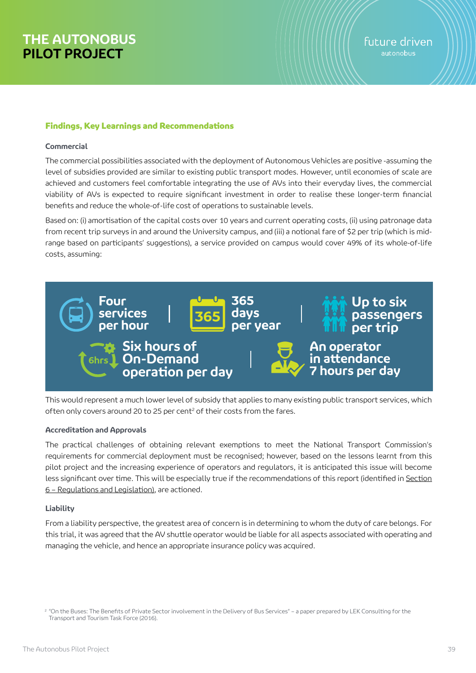### Findings, Key Learnings and Recommendations

#### **Commercial**

The commercial possibilities associated with the deployment of Autonomous Vehicles are positive -assuming the level of subsidies provided are similar to existing public transport modes. However, until economies of scale are achieved and customers feel comfortable integrating the use of AVs into their everyday lives, the commercial viability of AVs is expected to require significant investment in order to realise these longer-term financial benefits and reduce the whole-of-life cost of operations to sustainable levels.

Based on: (i) amortisation of the capital costs over 10 years and current operating costs, (ii) using patronage data from recent trip surveys in and around the University campus, and (iii) a notional fare of \$2 per trip (which is midrange based on participants' suggestions), a service provided on campus would cover 49% of its whole-of-life costs, assuming:



This would represent a much lower level of subsidy that applies to many existing public transport services, which often only covers around 20 to 25 per cent<sup>2</sup> of their costs from the fares.

### **Accreditation and Approvals**

The practical challenges of obtaining relevant exemptions to meet the National Transport Commission's requirements for commercial deployment must be recognised; however, based on the lessons learnt from this pilot project and the increasing experience of operators and regulators, it is anticipated this issue will become less significant over time. This will be especially true if the recommendations of this report (identified in Section 6 – Regulations and Legislation), are actioned.

### **Liability**

From a liability perspective, the greatest area of concern is in determining to whom the duty of care belongs. For this trial, it was agreed that the AV shuttle operator would be liable for all aspects associated with operating and managing the vehicle, and hence an appropriate insurance policy was acquired.

<sup>&</sup>lt;sup>2</sup> "On the Buses: The Benefits of Private Sector involvement in the Delivery of Bus Services" - a paper prepared by LEK Consulting for the Transport and Tourism Task Force (2016).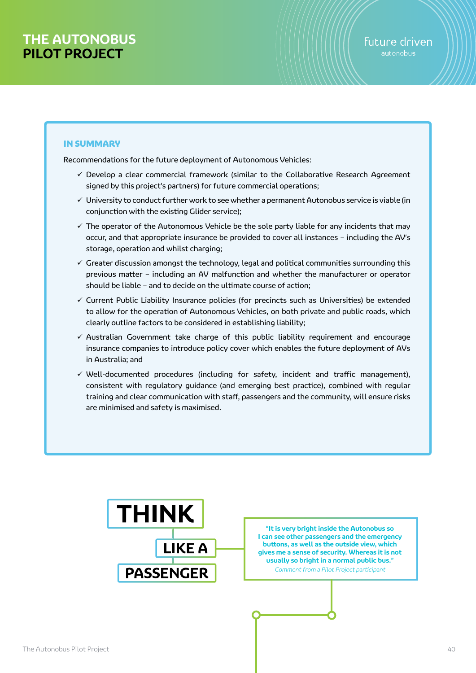## IN SUMMARY

Recommendations for the future deployment of Autonomous Vehicles:

- $\checkmark$  Develop a clear commercial framework (similar to the Collaborative Research Agreement signed by this project's partners) for future commercial operations;
- $\checkmark$  University to conduct further work to see whether a permanent Autonobus service is viable (in conjunction with the existing Glider service);
- $\checkmark$  The operator of the Autonomous Vehicle be the sole party liable for any incidents that may occur, and that appropriate insurance be provided to cover all instances – including the AV's storage, operation and whilst charging;
- $\checkmark$  Greater discussion amongst the technology, legal and political communities surrounding this previous matter – including an AV malfunction and whether the manufacturer or operator should be liable – and to decide on the ultimate course of action;
- $\checkmark$  Current Public Liability Insurance policies (for precincts such as Universities) be extended to allow for the operation of Autonomous Vehicles, on both private and public roads, which clearly outline factors to be considered in establishing liability;
- $\checkmark$  Australian Government take charge of this public liability requirement and encourage insurance companies to introduce policy cover which enables the future deployment of AVs in Australia; and
- $\checkmark$  Well-documented procedures (including for safety, incident and traffic management), consistent with regulatory guidance (and emerging best practice), combined with regular training and clear communication with staff, passengers and the community, will ensure risks are minimised and safety is maximised.



**"It is very bright inside the Autonobus so I can see other passengers and the emergency buttons, as well as the outside view, which gives me a sense of security. Whereas it is not usually so bright in a normal public bus."** Comment from a Pilot Project participant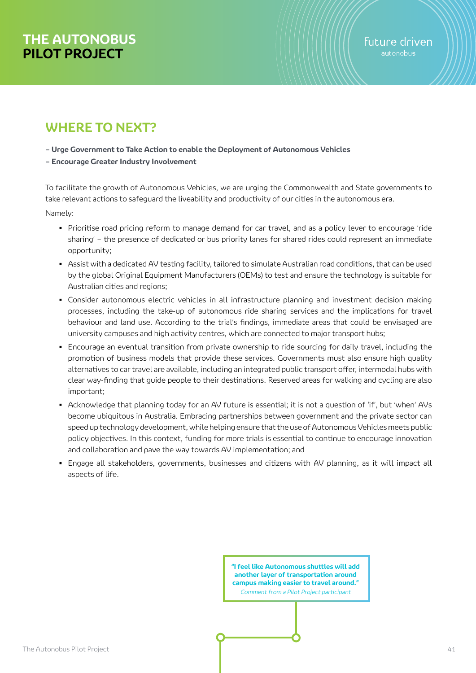# **WHERE TO NEXT?**

**– Urge Government to Take Action to enable the Deployment of Autonomous Vehicles**

### **– Encourage Greater Industry Involvement**

To facilitate the growth of Autonomous Vehicles, we are urging the Commonwealth and State governments to take relevant actions to safeguard the liveability and productivity of our cities in the autonomous era.

Namely:

- Prioritise road pricing reform to manage demand for car travel, and as a policy lever to encourage 'ride sharing' – the presence of dedicated or bus priority lanes for shared rides could represent an immediate opportunity;
- Assist with a dedicated AV testing facility, tailored to simulate Australian road conditions, that can be used by the global Original Equipment Manufacturers (OEMs) to test and ensure the technology is suitable for Australian cities and regions;
- Consider autonomous electric vehicles in all infrastructure planning and investment decision making processes, including the take-up of autonomous ride sharing services and the implications for travel behaviour and land use. According to the trial's findings, immediate areas that could be envisaged are university campuses and high activity centres, which are connected to major transport hubs;
- Encourage an eventual transition from private ownership to ride sourcing for daily travel, including the promotion of business models that provide these services. Governments must also ensure high quality alternatives to car travel are available, including an integrated public transport offer, intermodal hubs with clear way-finding that guide people to their destinations. Reserved areas for walking and cycling are also important;
- Acknowledge that planning today for an AV future is essential; it is not a question of 'if', but 'when' AVs become ubiquitous in Australia. Embracing partnerships between government and the private sector can speed up technology development, while helping ensure that the use of Autonomous Vehicles meets public policy objectives. In this context, funding for more trials is essential to continue to encourage innovation and collaboration and pave the way towards AV implementation; and
- Engage all stakeholders, governments, businesses and citizens with AV planning, as it will impact all aspects of life.

**"I feel like Autonomous shuttles will add another layer of transportation around campus making easier to travel around."** Comment from a Pilot Project participant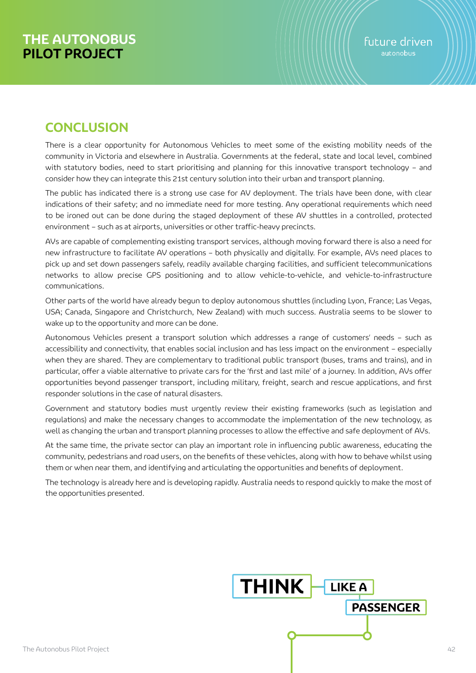# **CONCLUSION**

There is a clear opportunity for Autonomous Vehicles to meet some of the existing mobility needs of the community in Victoria and elsewhere in Australia. Governments at the federal, state and local level, combined with statutory bodies, need to start prioritising and planning for this innovative transport technology – and consider how they can integrate this 21st century solution into their urban and transport planning.

The public has indicated there is a strong use case for AV deployment. The trials have been done, with clear indications of their safety; and no immediate need for more testing. Any operational requirements which need to be ironed out can be done during the staged deployment of these AV shuttles in a controlled, protected environment – such as at airports, universities or other traffic-heavy precincts.

AVs are capable of complementing existing transport services, although moving forward there is also a need for new infrastructure to facilitate AV operations – both physically and digitally. For example, AVs need places to pick up and set down passengers safely, readily available charging facilities, and sufficient telecommunications networks to allow precise GPS positioning and to allow vehicle-to-vehicle, and vehicle-to-infrastructure communications.

Other parts of the world have already begun to deploy autonomous shuttles (including Lyon, France; Las Vegas, USA; Canada, Singapore and Christchurch, New Zealand) with much success. Australia seems to be slower to wake up to the opportunity and more can be done.

Autonomous Vehicles present a transport solution which addresses a range of customers' needs – such as accessibility and connectivity, that enables social inclusion and has less impact on the environment – especially when they are shared. They are complementary to traditional public transport (buses, trams and trains), and in particular, offer a viable alternative to private cars for the 'first and last mile' of a journey. In addition, AVs offer opportunities beyond passenger transport, including military, freight, search and rescue applications, and first responder solutions in the case of natural disasters.

Government and statutory bodies must urgently review their existing frameworks (such as legislation and regulations) and make the necessary changes to accommodate the implementation of the new technology, as well as changing the urban and transport planning processes to allow the effective and safe deployment of AVs.

At the same time, the private sector can play an important role in influencing public awareness, educating the community, pedestrians and road users, on the benefits of these vehicles, along with how to behave whilst using them or when near them, and identifying and articulating the opportunities and benefits of deployment.

The technology is already here and is developing rapidly. Australia needs to respond quickly to make the most of the opportunities presented.

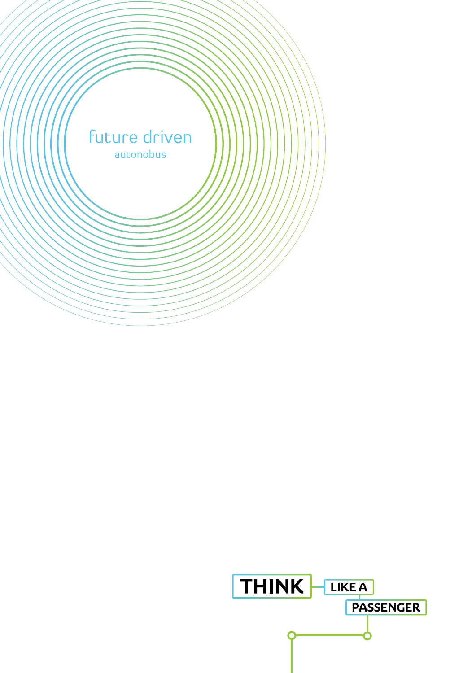